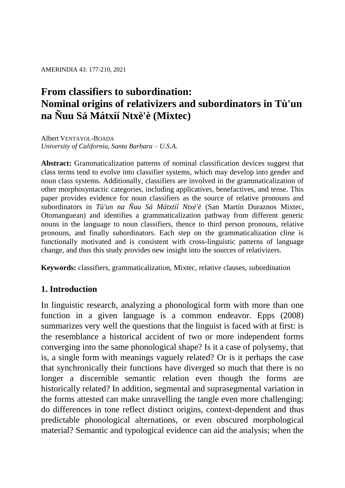AMERINDIA 43: 177-210, 2021

# **From classifiers to subordination: Nominal origins of relativizers and subordinators in Tù'un na Ñuu Sá Mátxíí Ntxè'è (Mixtec)**

Albert VENTAYOL-BOADA *University of California, Santa Barbara – U.S.A.*

**Abstract:** Grammaticalization patterns of nominal classification devices suggest that class terms tend to evolve into classifier systems, which may develop into gender and noun class systems. Additionally, classifiers are involved in the grammaticalization of other morphosyntactic categories, including applicatives, benefactives, and tense. This paper provides evidence for noun classifiers as the source of relative pronouns and subordinators in *Tù'un na Ñuu Sá Mátxtíí Ntxè'è* (San Martín Duraznos Mixtec, Otomanguean) and identifies a grammaticalization pathway from different generic nouns in the language to noun classifiers, thence to third person pronouns, relative pronouns, and finally subordinators. Each step on the grammaticalization cline is functionally motivated and is consistent with cross-linguistic patterns of language change, and thus this study provides new insight into the sources of relativizers.

**Keywords:** classifiers, grammaticalization, Mixtec, relative clauses, subordination

# **1. Introduction**

In linguistic research, analyzing a phonological form with more than one function in a given language is a common endeavor. Epps (2008) summarizes very well the questions that the linguist is faced with at first: is the resemblance a historical accident of two or more independent forms converging into the same phonological shape? Is it a case of polysemy, that is, a single form with meanings vaguely related? Or is it perhaps the case that synchronically their functions have diverged so much that there is no longer a discernible semantic relation even though the forms are historically related? In addition, segmental and suprasegmental variation in the forms attested can make unravelling the tangle even more challenging: do differences in tone reflect distinct origins, context-dependent and thus predictable phonological alternations, or even obscured morphological material? Semantic and typological evidence can aid the analysis; when the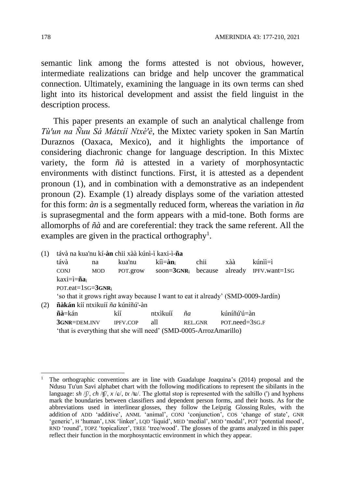semantic link among the forms attested is not obvious, however, intermediate realizations can bridge and help uncover the grammatical connection. Ultimately, examining the language in its own terms can shed light into its historical development and assist the field linguist in the description process.

This paper presents an example of such an analytical challenge from *Tù'un na Ñuu Sá Mátxíí Ntxè'è*, the Mixtec variety spoken in San Martín Duraznos (Oaxaca, Mexico), and it highlights the importance of considering diachronic change for language description. In this Mixtec variety, the form *ñà* is attested in a variety of morphosyntactic environments with distinct functions. First, it is attested as a dependent pronoun (1), and in combination with a demonstrative as an independent pronoun (2). Example (1) already displays some of the variation attested for this form: *àn* is a segmentally reduced form, whereas the variation in *ña* is suprasegmental and the form appears with a mid-tone. Both forms are allomorphs of *ñà* and are coreferential: they track the same referent. All the examples are given in the practical orthography<sup>1</sup>.

(1) távà na kua'nu kí-**àn** chii xàà kúnì-ì kaxi-ì-**ña** távà na kua'nu kíì=**àn**<sup>i</sup> chii xàà kúnìì=ì CONJ MOD POT.grow soon=**3GNR**<sup>i</sup> because already IPFV.want=1SG kaxi=ì=**ña**<sup>i</sup> POT.eat=1SG=**3GNR**<sup>i</sup> 'so that it grows right away because I want to eat it already' (SMD-0009-Jardín) (1)(2) **ñàkán** kíí ntxikuíí *ña* kúníñú'-àn **ñà**=kán kíí ntxìkuíí *ña* kúníñú'ú=àn **3GNR**=DEM.INV IPFV.COP all REL.GNR POT.need=3SG.F 'that is everything that she will need' (SMD-0005-ArrozAmarillo)

 $\overline{a}$ 

<sup>1</sup> The orthographic conventions are in line with Guadalupe Joaquina's (2014) proposal and the Ndusu Tu'un Savi alphabet chart with the following modifications to represent the sibilants in the language:  $sh$  / $f$ ,  $ch$  / $f$ /,  $x$  / $e$ /,  $tx$  / $te$ /. The glottal stop is represented with the saltillo (') and hyphens mark the boundaries between classifiers and dependent person forms, and their hosts. As for the abbreviations used in interlinear glosses, they follow the Leipzig Glossing Rules, with the addition of ADD 'additive', ANML 'animal', CONJ 'conjunction', COS 'change of state', GNR 'generic', H 'human', LNK 'linker', LQD 'liquid', MED 'medial', MOD 'modal', POT 'potential mood', RND 'round', TOPZ 'topicalizer', TREE 'tree/wood'. The glosses of the grams analyzed in this paper reflect their function in the morphosyntactic environment in which they appear.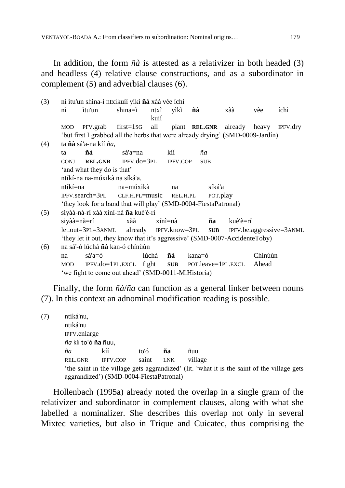In addition, the form *ñà* is attested as a relativizer in both headed (3) and headless (4) relative clause constructions, and as a subordinator in complement (5) and adverbial clauses (6).

| (3) |                                                                                | nì ìtu'un shina-ì ntxikuíí yìkì <b>ñà</b> xàà vèe íchì                         |                                                    |                       |                 |        |            |                    |         |                                     |  |
|-----|--------------------------------------------------------------------------------|--------------------------------------------------------------------------------|----------------------------------------------------|-----------------------|-----------------|--------|------------|--------------------|---------|-------------------------------------|--|
|     | $\overrightarrow{nn}$                                                          | itu'un                                                                         | $shina = i$                                        | kuií                  | ntxì yìkì       |        | ñà         | xàà                | vèe     | íchì                                |  |
|     | <b>MOD</b>                                                                     |                                                                                | PFV.grab first=1sG all plant REL.GNR already heavy |                       |                 |        |            |                    |         | IPFV.dry                            |  |
|     |                                                                                | 'but first I grabbed all the herbs that were already drying' (SMD-0009-Jardín) |                                                    |                       |                 |        |            |                    |         |                                     |  |
| (4) | ta <b>ñà</b> sá'a-na kíí <i>ña</i> ,                                           |                                                                                |                                                    |                       |                 |        |            |                    |         |                                     |  |
|     | ta                                                                             | ñà                                                                             | sá'a=na                                            |                       | kíí             |        | ñа         |                    |         |                                     |  |
|     | <b>CONJ</b>                                                                    |                                                                                | $REL.GNR$ IPFV.do=3PL                              |                       | <b>IPFV.COP</b> |        | <b>SUB</b> |                    |         |                                     |  |
|     |                                                                                | 'and what they do is that'                                                     |                                                    |                       |                 |        |            |                    |         |                                     |  |
|     |                                                                                | ntíkí-na na-múxikà na síká'a.                                                  |                                                    |                       |                 |        |            |                    |         |                                     |  |
|     | ntíkí=na                                                                       |                                                                                | na=múxikà                                          |                       | na              |        | síká'a     |                    |         |                                     |  |
|     | IPFV.search=3PL<br>$CLF.H.PL = music$<br>REL.H.PL<br>POT.play                  |                                                                                |                                                    |                       |                 |        |            |                    |         |                                     |  |
|     |                                                                                | 'they look for a band that will play' (SMD-0004-FiestaPatronal)                |                                                    |                       |                 |        |            |                    |         |                                     |  |
| (5) |                                                                                | siyàà-nà-rí xàà xínì-nà <b>ña</b> kuè'è-rí                                     |                                                    |                       |                 |        |            |                    |         |                                     |  |
|     |                                                                                | siyàà=nà=rí                                                                    | xàà                                                |                       | xínì=nà         |        | ña         | kuè'è=rí           |         |                                     |  |
|     |                                                                                | let.out=3pl=3anml                                                              |                                                    | already IPFV.know=3PL |                 |        |            |                    |         | <b>SUB</b> IPFV.be.aggressive=3ANML |  |
|     |                                                                                | 'they let it out, they know that it's aggressive' (SMD-0007-AccidenteToby)     |                                                    |                       |                 |        |            |                    |         |                                     |  |
| (6) |                                                                                | na sá'-ó lúchá nà kan-ó chínuun                                                |                                                    |                       |                 |        |            |                    |         |                                     |  |
|     | na                                                                             | $sá'a=6$                                                                       |                                                    | lúchá                 | ñà              | kana=ó |            |                    | Chínùùn |                                     |  |
|     | <b>MOD</b>                                                                     |                                                                                |                                                    |                       | <b>SUB</b>      |        |            | POT.leave=1PL.EXCL | Ahead   |                                     |  |
|     | $IPFV.do=1PL.EXCL$ fight<br>'we fight to come out ahead' (SMD-0011-MiHistoria) |                                                                                |                                                    |                       |                 |        |            |                    |         |                                     |  |
|     |                                                                                |                                                                                |                                                    |                       |                 |        |            |                    |         |                                     |  |

Finally, the form *ñà*/*ña* can function as a general linker between nouns (7). In this context an adnominal modification reading is possible.

(7) ntiká'nu, ntiká'nu IPFV.enlarge *ña* kíí to'ó **ña** ñuu, *ña* kíí to'ó **ña** ñuu REL.GNR IPFV.COP saint LNK village 'the saint in the village gets aggrandized' (lit. 'what it is the saint of the village gets aggrandized') (SMD-0004-FiestaPatronal)

Hollenbach (1995a) already noted the overlap in a single gram of the relativizer and subordinator in complement clauses, along with what she labelled a nominalizer. She describes this overlap not only in several Mixtec varieties, but also in Trique and Cuicatec, thus comprising the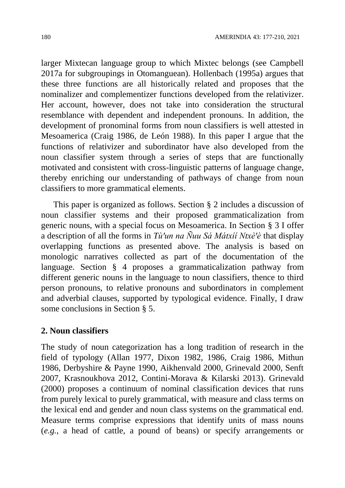larger Mixtecan language group to which Mixtec belongs (see Campbell 2017a for subgroupings in Otomanguean). Hollenbach (1995a) argues that these three functions are all historically related and proposes that the nominalizer and complementizer functions developed from the relativizer. Her account, however, does not take into consideration the structural resemblance with dependent and independent pronouns. In addition, the development of pronominal forms from noun classifiers is well attested in Mesoamerica (Craig 1986, de León 1988). In this paper I argue that the functions of relativizer and subordinator have also developed from the noun classifier system through a series of steps that are functionally motivated and consistent with cross-linguistic patterns of language change, thereby enriching our understanding of pathways of change from noun classifiers to more grammatical elements.

This paper is organized as follows. Section § 2 includes a discussion of noun classifier systems and their proposed grammaticalization from generic nouns, with a special focus on Mesoamerica. In Section § 3 I offer a description of all the forms in *Tù'un na Ñuu Sá Mátxíí Ntxè'è* that display overlapping functions as presented above. The analysis is based on monologic narratives collected as part of the documentation of the language. Section § 4 proposes a grammaticalization pathway from different generic nouns in the language to noun classifiers, thence to third person pronouns, to relative pronouns and subordinators in complement and adverbial clauses, supported by typological evidence. Finally, I draw some conclusions in Section § 5.

# **2. Noun classifiers**

The study of noun categorization has a long tradition of research in the field of typology (Allan 1977, Dixon 1982, 1986, Craig 1986, Mithun 1986, Derbyshire & Payne 1990, Aikhenvald 2000, Grinevald 2000, Senft 2007, Krasnoukhova 2012, Contini-Morava & Kilarski 2013). Grinevald (2000) proposes a continuum of nominal classification devices that runs from purely lexical to purely grammatical, with measure and class terms on the lexical end and gender and noun class systems on the grammatical end. Measure terms comprise expressions that identify units of mass nouns (*e.g.*, a head of cattle, a pound of beans) or specify arrangements or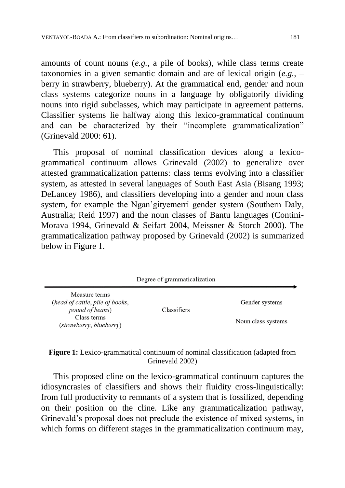amounts of count nouns (*e.g.*, a pile of books), while class terms create taxonomies in a given semantic domain and are of lexical origin (*e.g.*, – berry in strawberry, blueberry). At the grammatical end, gender and noun class systems categorize nouns in a language by obligatorily dividing nouns into rigid subclasses, which may participate in agreement patterns. Classifier systems lie halfway along this lexico-grammatical continuum and can be characterized by their "incomplete grammaticalization" (Grinevald 2000: 61).

This proposal of nominal classification devices along a lexicogrammatical continuum allows Grinevald (2002) to generalize over attested grammaticalization patterns: class terms evolving into a classifier system, as attested in several languages of South East Asia (Bisang 1993; DeLancey 1986), and classifiers developing into a gender and noun class system, for example the Ngan'gityemerri gender system (Southern Daly, Australia; Reid 1997) and the noun classes of Bantu languages (Contini-Morava 1994, Grinevald & Seifart 2004, Meissner & Storch 2000). The grammaticalization pathway proposed by Grinevald (2002) is summarized below in Figure 1.

|                                                                     | Degree of grammaticalization |                    |
|---------------------------------------------------------------------|------------------------------|--------------------|
| Measure terms<br>(head of cattle, pile of books,<br>pound of beans) | Classifiers                  | Gender systems     |
| Class terms<br>(strawberry, blueberry)                              |                              | Noun class systems |

## **Figure 1:** Lexico-grammatical continuum of nominal classification (adapted from Grinevald 2002)

This proposed cline on the lexico-grammatical continuum captures the idiosyncrasies of classifiers and shows their fluidity cross-linguistically: from full productivity to remnants of a system that is fossilized, depending on their position on the cline. Like any grammaticalization pathway, Grinevald's proposal does not preclude the existence of mixed systems, in which forms on different stages in the grammaticalization continuum may,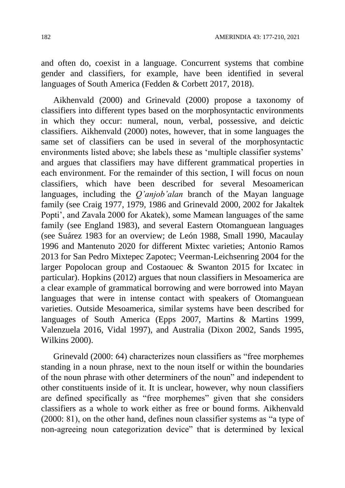and often do, coexist in a language. Concurrent systems that combine gender and classifiers, for example, have been identified in several languages of South America (Fedden & Corbett 2017, 2018).

Aikhenvald (2000) and Grinevald (2000) propose a taxonomy of classifiers into different types based on the morphosyntactic environments in which they occur: numeral, noun, verbal, possessive, and deictic classifiers. Aikhenvald (2000) notes, however, that in some languages the same set of classifiers can be used in several of the morphosyntactic environments listed above; she labels these as 'multiple classifier systems' and argues that classifiers may have different grammatical properties in each environment. For the remainder of this section, I will focus on noun classifiers, which have been described for several Mesoamerican languages, including the *Q'anjob'alan* branch of the Mayan language family (see Craig 1977, 1979, 1986 and Grinevald 2000, 2002 for Jakaltek Popti', and Zavala 2000 for Akatek), some Mamean languages of the same family (see England 1983), and several Eastern Otomanguean languages (see Suárez 1983 for an overview; de León 1988, Small 1990, Macaulay 1996 and Mantenuto 2020 for different Mixtec varieties; Antonio Ramos 2013 for San Pedro Mixtepec Zapotec; Veerman-Leichsenring 2004 for the larger Popolocan group and Costaouec & Swanton 2015 for Ixcatec in particular). Hopkins (2012) argues that noun classifiers in Mesoamerica are a clear example of grammatical borrowing and were borrowed into Mayan languages that were in intense contact with speakers of Otomanguean varieties. Outside Mesoamerica, similar systems have been described for languages of South America (Epps 2007, Martins & Martins 1999, Valenzuela 2016, Vidal 1997), and Australia (Dixon 2002, Sands 1995, Wilkins 2000).

Grinevald (2000: 64) characterizes noun classifiers as "free morphemes standing in a noun phrase, next to the noun itself or within the boundaries of the noun phrase with other determiners of the noun" and independent to other constituents inside of it. It is unclear, however, why noun classifiers are defined specifically as "free morphemes" given that she considers classifiers as a whole to work either as free or bound forms. Aikhenvald (2000: 81), on the other hand, defines noun classifier systems as "a type of non-agreeing noun categorization device" that is determined by lexical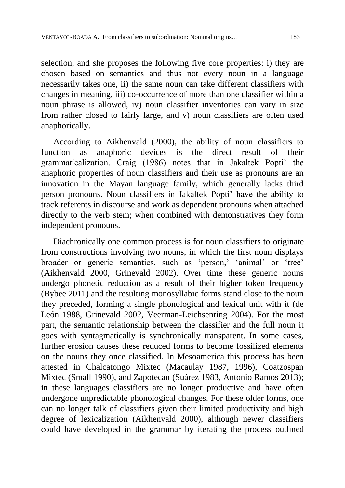selection, and she proposes the following five core properties: i) they are chosen based on semantics and thus not every noun in a language necessarily takes one, ii) the same noun can take different classifiers with changes in meaning, iii) co-occurrence of more than one classifier within a noun phrase is allowed, iv) noun classifier inventories can vary in size from rather closed to fairly large, and v) noun classifiers are often used anaphorically.

According to Aikhenvald (2000), the ability of noun classifiers to function as anaphoric devices is the direct result of their grammaticalization. Craig (1986) notes that in Jakaltek Popti' the anaphoric properties of noun classifiers and their use as pronouns are an innovation in the Mayan language family, which generally lacks third person pronouns. Noun classifiers in Jakaltek Popti' have the ability to track referents in discourse and work as dependent pronouns when attached directly to the verb stem; when combined with demonstratives they form independent pronouns.

Diachronically one common process is for noun classifiers to originate from constructions involving two nouns, in which the first noun displays broader or generic semantics, such as 'person,' 'animal' or 'tree' (Aikhenvald 2000, Grinevald 2002). Over time these generic nouns undergo phonetic reduction as a result of their higher token frequency (Bybee 2011) and the resulting monosyllabic forms stand close to the noun they preceded, forming a single phonological and lexical unit with it (de León 1988, Grinevald 2002, Veerman-Leichsenring 2004). For the most part, the semantic relationship between the classifier and the full noun it goes with syntagmatically is synchronically transparent. In some cases, further erosion causes these reduced forms to become fossilized elements on the nouns they once classified. In Mesoamerica this process has been attested in Chalcatongo Mixtec (Macaulay 1987, 1996), Coatzospan Mixtec (Small 1990), and Zapotecan (Suárez 1983, Antonio Ramos 2013); in these languages classifiers are no longer productive and have often undergone unpredictable phonological changes. For these older forms, one can no longer talk of classifiers given their limited productivity and high degree of lexicalization (Aikhenvald 2000), although newer classifiers could have developed in the grammar by iterating the process outlined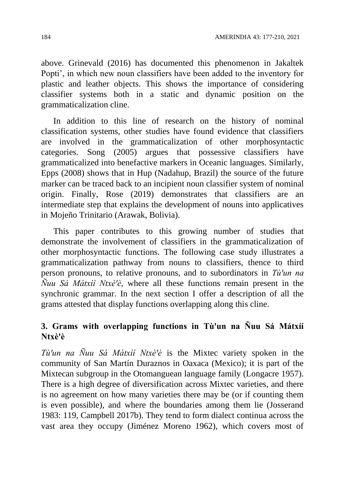above. Grinevald (2016) has documented this phenomenon in Jakaltek Popti', in which new noun classifiers have been added to the inventory for plastic and leather objects. This shows the importance of considering classifier systems both in a static and dynamic position on the grammaticalization cline.

In addition to this line of research on the history of nominal classification systems, other studies have found evidence that classifiers are involved in the grammaticalization of other morphosyntactic categories. Song (2005) argues that possessive classifiers have grammaticalized into benefactive markers in Oceanic languages. Similarly, Epps (2008) shows that in Hup (Nadahup, Brazil) the source of the future marker can be traced back to an incipient noun classifier system of nominal origin. Finally, Rose (2019) demonstrates that classifiers are an intermediate step that explains the development of nouns into applicatives in Mojeño Trinitario (Arawak, Bolivia).

This paper contributes to this growing number of studies that demonstrate the involvement of classifiers in the grammaticalization of other morphosyntactic functions. The following case study illustrates a grammaticalization pathway from nouns to classifiers, thence to third person pronouns, to relative pronouns, and to subordinators in *Tù'un na Nuu Sá Mátxíí Ntxè'è*, where all these functions remain present in the synchronic grammar. In the next section I offer a description of all the grams attested that display functions overlapping along this cline.

# **3. Grams with overlapping functions in Tù'un na Ñuu Sá Mátxíí Ntxèꞌè**

*Tù'un na Ñuu Sá Mátxíí Ntxè'è* is the Mixtec variety spoken in the community of San Martín Duraznos in Oaxaca (Mexico); it is part of the Mixtecan subgroup in the Otomanguean language family (Longacre 1957). There is a high degree of diversification across Mixtec varieties, and there is no agreement on how many varieties there may be (or if counting them is even possible), and where the boundaries among them lie (Josserand 1983: 119, Campbell 2017b). They tend to form dialect continua across the vast area they occupy (Jiménez Moreno 1962), which covers most of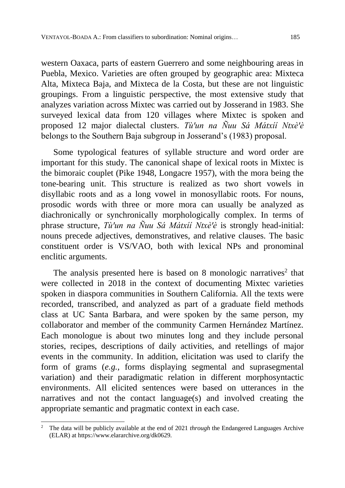western Oaxaca, parts of eastern Guerrero and some neighbouring areas in Puebla, Mexico. Varieties are often grouped by geographic area: Mixteca Alta, Mixteca Baja, and Mixteca de la Costa, but these are not linguistic groupings. From a linguistic perspective, the most extensive study that analyzes variation across Mixtec was carried out by Josserand in 1983. She surveyed lexical data from 120 villages where Mixtec is spoken and proposed 12 major dialectal clusters. *Tù'un na Ñuu Sá Mátxií Ntxè'è* belongs to the Southern Baja subgroup in Josserand's (1983) proposal.

Some typological features of syllable structure and word order are important for this study. The canonical shape of lexical roots in Mixtec is the bimoraic couplet (Pike 1948, Longacre 1957), with the mora being the tone-bearing unit. This structure is realized as two short vowels in disyllabic roots and as a long vowel in monosyllabic roots. For nouns, prosodic words with three or more mora can usually be analyzed as diachronically or synchronically morphologically complex. In terms of phrase structure, *Tù'un na Ñuu Sá Mátxíí Ntxè'è* is strongly head-initial: nouns precede adjectives, demonstratives, and relative clauses. The basic constituent order is VS/VAO, both with lexical NPs and pronominal enclitic arguments.

The analysis presented here is based on 8 monologic narratives<sup>2</sup> that were collected in 2018 in the context of documenting Mixtec varieties spoken in diaspora communities in Southern California. All the texts were recorded, transcribed, and analyzed as part of a graduate field methods class at UC Santa Barbara, and were spoken by the same person, my collaborator and member of the community Carmen Hernández Martínez. Each monologue is about two minutes long and they include personal stories, recipes, descriptions of daily activities, and retellings of major events in the community. In addition, elicitation was used to clarify the form of grams (*e.g.*, forms displaying segmental and suprasegmental variation) and their paradigmatic relation in different morphosyntactic environments. All elicited sentences were based on utterances in the narratives and not the contact language(s) and involved creating the appropriate semantic and pragmatic context in each case.

 $\overline{a}$ <sup>2</sup> The data will be publicly available at the end of 2021 *through* the Endangered Languages Archive (ELAR) at https://www.elararchive.org/dk0629*.*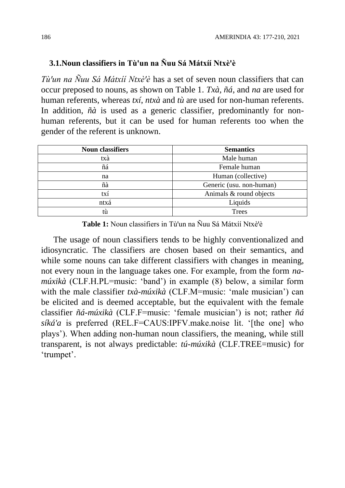## **3.1. Noun classifiers in Tù'un na Ñuu Sá Mátxíí Ntxè'è**

*Tù'un na Ñuu Sá Mátxíí Ntxè'è* has a set of seven noun classifiers that can occur preposed to nouns, as shown on Table 1. *Txà, ñá*, and *na* are used for human referents, whereas *txí*, *ntxà* and *tù* are used for non-human referents. In addition, *ñà* is used as a generic classifier, predominantly for nonhuman referents, but it can be used for human referents too when the gender of the referent is unknown.

| <b>Noun classifiers</b> | <b>Semantics</b>         |
|-------------------------|--------------------------|
| txà                     | Male human               |
| ñá                      | Female human             |
| na                      | Human (collective)       |
| ñà                      | Generic (usu. non-human) |
| txí                     | Animals & round objects  |
| ntxá                    | Liquids                  |
| tù                      | <b>Trees</b>             |

Table 1: Noun classifiers in Tù'un na Ñuu Sá Mátxíí Ntxè'è

The usage of noun classifiers tends to be highly conventionalized and idiosyncratic. The classifiers are chosen based on their semantics, and while some nouns can take different classifiers with changes in meaning, not every noun in the language takes one. For example, from the form *namúxikà* (CLF.H.PL=music: 'band') in example (8) below, a similar form with the male classifier *txà-múxikà* (CLF.M=music: 'male musician') can be elicited and is deemed acceptable, but the equivalent with the female classifier *ñá-múxikà* (CLF.F=music: 'female musician') is not; rather *ñá síká'a* is preferred (REL.F=CAUS:IPFV.make.noise lit. '[the one] who plays'). When adding non-human noun classifiers, the meaning, while still transparent, is not always predictable: *tú-múxikà* (CLF.TREE=music) for 'trumpet'.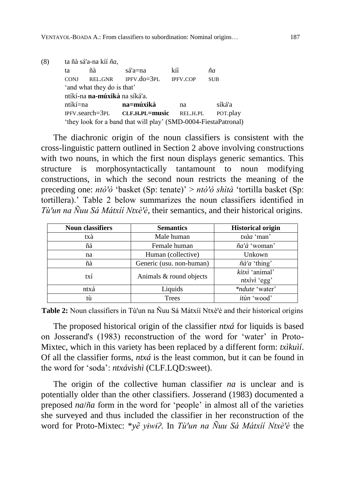| (8) | ta ñà sá'a-na kíí ña,      |                                                                 |                                |                 |            |  |  |  |  |  |
|-----|----------------------------|-----------------------------------------------------------------|--------------------------------|-----------------|------------|--|--|--|--|--|
|     | ta                         | ñà                                                              | sá'a=na                        | kíí             | ñа         |  |  |  |  |  |
|     | <b>CONJ</b>                | REL.GNR                                                         | $IPFV.do=3PL$                  | <b>IPFV.COP</b> | <b>SUB</b> |  |  |  |  |  |
|     | 'and what they do is that' |                                                                 |                                |                 |            |  |  |  |  |  |
|     |                            | ntíkí-na na-múxikà na síká'a.                                   |                                |                 |            |  |  |  |  |  |
|     | ntíkí=na                   |                                                                 | na=múxikà                      | na              | síká'a     |  |  |  |  |  |
|     |                            |                                                                 | IPFV.search=3PL CLF.H.PL=music | REL.H.PL        | POT.play   |  |  |  |  |  |
|     |                            | 'they look for a band that will play' (SMD-0004-FiestaPatronal) |                                |                 |            |  |  |  |  |  |

The diachronic origin of the noun classifiers is consistent with the cross-linguistic pattern outlined in Section 2 above involving constructions with two nouns, in which the first noun displays generic semantics. This structure is morphosyntactically tantamount to noun modifying constructions, in which the second noun restricts the meaning of the preceding one: *ntò'ò* 'basket (Sp: tenate)' > *ntò'ò shìtà* 'tortilla basket (Sp: tortillera).' Table 2 below summarizes the noun classifiers identified in *Tù'un na Ñuu Sá Mátxíí Ntxè'è*, their semantics, and their historical origins.

| <b>Noun classifiers</b> | <b>Semantics</b>         | <b>Historical origin</b>     |  |  |
|-------------------------|--------------------------|------------------------------|--|--|
| txà                     | Male human               | $tx\grave{a}a$ 'man'         |  |  |
| ñá                      | Female human             | $\tilde{n}a'\hat{a}$ 'woman' |  |  |
| na                      | Human (collective)       | Unkown                       |  |  |
| ñà                      | Generic (usu. non-human) | $\tilde{n}$ à'a 'thing'      |  |  |
| txí                     | Animals & round objects  | kitxì 'animal'               |  |  |
|                         |                          | $ntxivi$ 'egg'               |  |  |
| ntxá                    | Liquids                  | *ndute 'water'               |  |  |
| tù                      | Trees                    | itùn 'wood'                  |  |  |

**Table 2:** Noun classifiers in Tù'un na Ñuu Sá Mátxíí Ntxè'è and their historical origins

The proposed historical origin of the classifier *ntxá* for liquids is based on Josserand's (1983) reconstruction of the word for 'water' in Proto-Mixtec, which in this variety has been replaced by a different form: *txìkuìí*. Of all the classifier forms, *ntxá* is the least common, but it can be found in the word for 'soda': *ntxávìshì* (CLF.LQD:sweet).

The origin of the collective human classifier *na* is unclear and is potentially older than the other classifiers. Josserand (1983) documented a preposed *na*/*ña* form in the word for 'people' in almost all of the varieties she surveyed and thus included the classifier in her reconstruction of the word for Proto-Mixtec: \**yẽ yiwi?*. In *Tù'un na Ñuu Sá Mátxíí Ntxè'è* the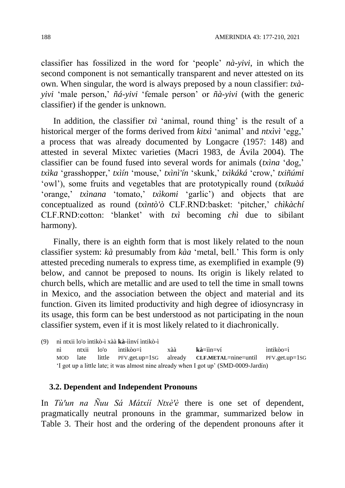classifier has fossilized in the word for 'people' *nà-yivi*, in which the second component is not semantically transparent and never attested on its own. When singular, the word is always preposed by a noun classifier: *txàyivi* 'male person,' *ñá-yivi* 'female person' or *ñà-yivi* (with the generic classifier) if the gender is unknown.

In addition, the classifier *txì* 'animal, round thing' is the result of a historical merger of the forms derived from *kitxì* 'animal' and *ntxìvì* 'egg,' a process that was already documented by Longacre (1957: 148) and attested in several Mixtec varieties (Macri 1983, de Ávila 2004). The classifier can be found fused into several words for animals (*txìna* 'dog,' *txìka* 'grasshopper,' *txìín* 'mouse,' *txìnì'ín* 'skunk,' *txìkáká* 'crow,' *txiñúmi* 'owl'), some fruits and vegetables that are prototypically round (*txíkuàá* 'orange,' *txìnana* 'tomato,' *txìkomi* 'garlic') and objects that are conceptualized as round (*txìntò'ò* CLF.RND:basket: 'pitcher,' *chìkàchí* CLF.RND:cotton: 'blanket' with *txì* becoming *chì* due to sibilant harmony).

Finally, there is an eighth form that is most likely related to the noun classifier system: *kà* presumably from *kàa* 'metal, bell.' This form is only attested preceding numerals to express time, as exemplified in example (9) below, and cannot be preposed to nouns. Its origin is likely related to church bells, which are metallic and are used to tell the time in small towns in Mexico, and the association between the object and material and its function. Given its limited productivity and high degree of idiosyncrasy in its usage, this form can be best understood as not participating in the noun classifier system, even if it is most likely related to it diachronically.

(9) nì ntxii lo'o ìntikò-ì xàà **kà**-ììnví ìntikò-ì nì ntxii lo'o ìntikòo=ì xàà **kà**=ììn=ví ìntikòo=ì MOD late little PFV.get.up=1SG already **CLF.METAL**=nine=until PFV.get.up=1SG 'I got up a little late; it was almost nine already when I got up' (SMD-0009-Jardín)

#### **3.2. Dependent and Independent Pronouns**

In *Tù'un na Ñuu Sá Mátxíí Ntxè'è* there is one set of dependent, pragmatically neutral pronouns in the grammar, summarized below in Table 3. Their host and the ordering of the dependent pronouns after it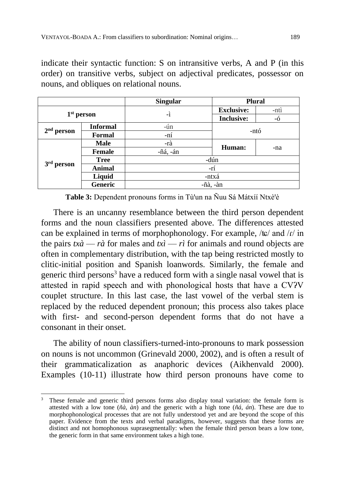indicate their syntactic function: S on intransitive verbs, A and P (in this order) on transitive verbs, subject on adjectival predicates, possessor on nouns, and obliques on relational nouns.

|                 |                 | <b>Singular</b> |                               | <b>Plural</b> |  |  |  |
|-----------------|-----------------|-----------------|-------------------------------|---------------|--|--|--|
|                 |                 |                 | <b>Exclusive:</b>             | -ntì          |  |  |  |
|                 | $1st$ person    | -ì              | <b>Inclusive:</b>             | -ó            |  |  |  |
|                 | <b>Informal</b> | -ún             |                               |               |  |  |  |
| $2nd$ person    | <b>Formal</b>   | -ní             |                               | -ntó          |  |  |  |
|                 | <b>Male</b>     | -rà             | Human:                        |               |  |  |  |
|                 | <b>Female</b>   | -ñá, -án        |                               | -na           |  |  |  |
| 3 <sup>rd</sup> | <b>Tree</b>     | -dún            |                               |               |  |  |  |
| person          | <b>Animal</b>   | -rí             |                               |               |  |  |  |
|                 | Liquid          |                 | -ntxá                         |               |  |  |  |
|                 | Generic         |                 | $-\tilde{n}$ à, $-\grave{a}n$ |               |  |  |  |

**Table 3:** Dependent pronouns forms in Tù'un na Ñuu Sá Mátxíí Ntxè'è

There is an uncanny resemblance between the third person dependent forms and the noun classifiers presented above. The differences attested can be explained in terms of morphophonology. For example, / $\frac{1}{k}$  and / $\frac{1}{k}$  in the pairs  $tx\hat{a} - r\hat{a}$  for males and  $tx\hat{i} - r\hat{j}$  for animals and round objects are often in complementary distribution, with the tap being restricted mostly to clitic-initial position and Spanish loanwords. Similarly, the female and generic third persons<sup>3</sup> have a reduced form with a single nasal vowel that is attested in rapid speech and with phonological hosts that have a CVʔV couplet structure. In this last case, the last vowel of the verbal stem is replaced by the reduced dependent pronoun; this process also takes place with first- and second-person dependent forms that do not have a consonant in their onset.

The ability of noun classifiers-turned-into-pronouns to mark possession on nouns is not uncommon (Grinevald 2000, 2002), and is often a result of their grammaticalization as anaphoric devices (Aikhenvald 2000). Examples (10-11) illustrate how third person pronouns have come to

 $\overline{a}$ <sup>3</sup> These female and generic third persons forms also display tonal variation: the female form is attested with a low tone (*ñà, àn*) and the generic with a high tone (*ñá, án*). These are due to morphophonological processes that are not fully understood yet and are beyond the scope of this paper. Evidence from the texts and verbal paradigms, however, suggests that these forms are distinct and not homophonous suprasegmentally: when the female third person bears a low tone, the generic form in that same environment takes a high tone.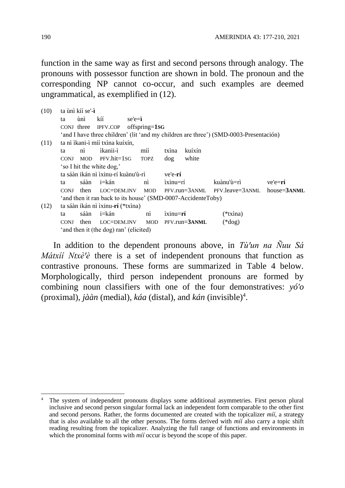function in the same way as first and second persons through analogy. The pronouns with possessor function are shown in bold. The pronoun and the corresponding NP cannot co-occur, and such examples are deemed ungrammatical, as exemplified in (12).

| (10) | ta ùnì kíí se'-ì                    |                                        |                                                                                       |            |                      |            |                               |            |  |             |
|------|-------------------------------------|----------------------------------------|---------------------------------------------------------------------------------------|------------|----------------------|------------|-------------------------------|------------|--|-------------|
|      | ta                                  | ùnì                                    | kíí                                                                                   | $se'e = i$ |                      |            |                               |            |  |             |
|      | CONJ three                          |                                        | IPFV.COP                                                                              |            | $offspring=1SG$      |            |                               |            |  |             |
|      |                                     |                                        | 'and I have three children' (lit 'and my children are three') (SMD-0003-Presentación) |            |                      |            |                               |            |  |             |
| (11) |                                     |                                        | ta nì ì kani-ì míí txìna kuíxín,                                                      |            |                      |            |                               |            |  |             |
|      | ta                                  | n <sub>i</sub>                         | <i>ikanii-ì</i>                                                                       |            | míí                  | txina      | kuíxín                        |            |  |             |
|      | <b>CONJ</b>                         |                                        | MOD PFV.hit=1SG                                                                       |            | <b>TOPZ</b>          | dog        | white                         |            |  |             |
|      | 'so I hit the white dog,'           |                                        |                                                                                       |            |                      |            |                               |            |  |             |
|      | ta sáàn ikán nì ìxinu-rí kuànu'ù-rì |                                        |                                                                                       |            | ve'e-rí              |            |                               |            |  |             |
|      | ta                                  | sáàn                                   | i=kán                                                                                 |            | nì                   | $ixinu=rf$ |                               | kuànu'ù=rì |  | $ve'e = ri$ |
|      | <b>CONJ</b>                         | then                                   | LOC=DEM.INV MOD                                                                       |            |                      |            | PFV.run=3ANML PFV.leave=3ANML |            |  | house=3ANML |
|      |                                     |                                        | 'and then it ran back to its house' (SMD-0007-AccidenteToby)                          |            |                      |            |                               |            |  |             |
| (12) |                                     |                                        | ta sáàn ikán nì ìxinu-rí (*txìna)                                                     |            |                      |            |                               |            |  |             |
|      | ta                                  | sáàn                                   | i=kán                                                                                 |            | $\overrightarrow{m}$ | $ixinu=rf$ |                               | $(*{t}x)$  |  |             |
|      | <b>CONJ</b>                         | then                                   | LOC=DEM.INV                                                                           |            |                      |            | MOD PFV.run=3ANML             | $(*dog)$   |  |             |
|      |                                     | 'and then it (the dog) ran' (elicited) |                                                                                       |            |                      |            |                               |            |  |             |

In addition to the dependent pronouns above, in *Tù'un na Ñuu Sá Mátxíí Ntxè'è* there is a set of independent pronouns that function as contrastive pronouns. These forms are summarized in Table 4 below. Morphologically, third person independent pronouns are formed by combining noun classifiers with one of the four demonstratives: *yó'o* (proximal), *jààn* (medial), *káa* (distal), and *kán* (invisible)<sup>4</sup> .

 $\overline{a}$ 

<sup>4</sup> The system of independent pronouns displays some additional asymmetries. First person plural inclusive and second person singular formal lack an independent form comparable to the other first and second persons. Rather, the forms documented are created with the topicalizer *míí*, a strategy that is also available to all the other persons. The forms derived with *míí* also carry a topic shift reading resulting from the topicalizer. Analyzing the full range of functions and environments in which the pronominal forms with *míj* occur is beyond the scope of this paper.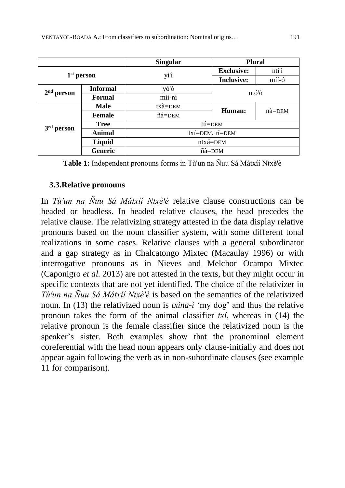|              |                 | <b>Plural</b>       |                   |                    |  |  |  |
|--------------|-----------------|---------------------|-------------------|--------------------|--|--|--|
|              | $1st$ person    | yì'ì                | <b>Exclusive:</b> | ntì'ì              |  |  |  |
|              |                 |                     | <b>Inclusive:</b> | míí-ó              |  |  |  |
| $2nd$ person | <b>Informal</b> | yó'ó                | ntó'ó             |                    |  |  |  |
|              | <b>Formal</b>   | míí-ní              |                   |                    |  |  |  |
|              | <b>Male</b>     | $tx\grave{a} = DEM$ | Human:            | $n\grave{a} = DEM$ |  |  |  |
|              | <b>Female</b>   | ñá=DEM              |                   |                    |  |  |  |
| person       | <b>Tree</b>     |                     | tú=DEM            |                    |  |  |  |
|              | <b>Animal</b>   | txí=DEM, rí=DEM     |                   |                    |  |  |  |
|              | Liquid          | ntxá=DEM            |                   |                    |  |  |  |
|              | <b>Generic</b>  |                     | ñà=DEM            |                    |  |  |  |

**Table 1:** Independent pronouns forms in Tù'un na Ñuu Sá Mátxíí Ntxè'è

## **3.3.Relative pronouns**

In *Tù'un na Ñuu Sá Mátxíí Ntxè'è* relative clause constructions can be headed or headless. In headed relative clauses, the head precedes the relative clause. The relativizing strategy attested in the data display relative pronouns based on the noun classifier system, with some different tonal realizations in some cases. Relative clauses with a general subordinator and a gap strategy as in Chalcatongo Mixtec (Macaulay 1996) or with interrogative pronouns as in Nieves and Melchor Ocampo Mixtec (Caponigro *et al.* 2013) are not attested in the texts, but they might occur in specific contexts that are not yet identified. The choice of the relativizer in *Tù'un na Ñuu Sá Mátxíí Ntxè'è* is based on the semantics of the relativized noun. In (13) the relativized noun is *txìna-ì* 'my dog' and thus the relative pronoun takes the form of the animal classifier *txí*, whereas in (14) the relative pronoun is the female classifier since the relativized noun is the speaker's sister. Both examples show that the pronominal element coreferential with the head noun appears only clause-initially and does not appear again following the verb as in non-subordinate clauses (see example 11 for comparison).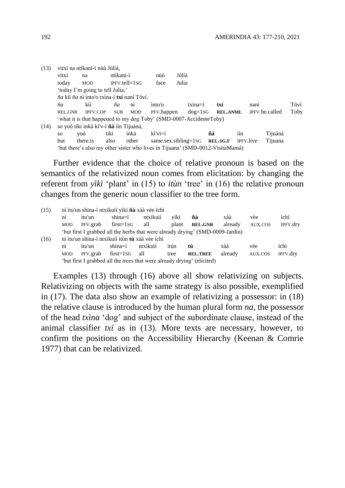| (13) |           | vitxi na ntíkani-ì nùù Júlíá,                                                 |            |                    |            |                            |    |                 |     |                  |                |      |
|------|-----------|-------------------------------------------------------------------------------|------------|--------------------|------------|----------------------------|----|-----------------|-----|------------------|----------------|------|
|      | vitxi     | na                                                                            | ntíkani-ì  |                    | nùù        | Júlíá                      |    |                 |     |                  |                |      |
|      | today     | <b>MOD</b>                                                                    |            | $IPFV. tell = 1SG$ | face       | Julia                      |    |                 |     |                  |                |      |
|      |           | 'today I'm going to tell Julia,'                                              |            |                    |            |                            |    |                 |     |                  |                |      |
|      |           | <i>ña</i> kíí <i>ña</i> nì ìnto'o txìna-ì <b>txí</b> naní Tóví.               |            |                    |            |                            |    |                 |     |                  |                |      |
|      | ña        | kíí                                                                           | ña         | nì                 | into'o     | $tx$ ina $=$ i             |    | txí             |     | naní             |                | Tóví |
|      | REL.GNR   | <b>IPFV.COP</b>                                                               | <b>SUB</b> | <b>MOD</b>         | PFV.happen | $dog=1SG$                  |    | <b>REL.ANML</b> |     |                  | IPFV.be.called | Toby |
|      |           | 'what it is that happened to my dog Toby' (SMD-0007-AccidenteToby)            |            |                    |            |                            |    |                 |     |                  |                |      |
| (14) |           | so yoó tiki inkà kì'v-ì ñà íin Tijuáná,                                       |            |                    |            |                            |    |                 |     |                  |                |      |
|      | <b>SO</b> | <b>VOÓ</b>                                                                    | tiki       | inkà               | kì'vi≡ì    |                            | ñà |                 | íin |                  | Tijuáná        |      |
|      | but.      | there is                                                                      | also       | other              |            | $same. sex. sibling = 1SG$ |    | REL.SG.F        |     | <b>IPFV.live</b> | Tijuana        |      |
|      |           | 'but there's also my other sister who lives in Tijuana' (SMD-0012-VisitaMamá) |            |                    |            |                            |    |                 |     |                  |                |      |

Further evidence that the choice of relative pronoun is based on the semantics of the relativized noun comes from elicitation: by changing the referent from *yìkì* 'plant' in (15) to *itùn* 'tree' in (16) the relative pronoun changes from the generic noun classifier to the tree form.

| (15) | nì ìtu'un shina-ì ntxikuíí yìkì ñà xàà vèe íchì |                                                                         |               |          |       |                                                                                |         |         |                 |  |  |
|------|-------------------------------------------------|-------------------------------------------------------------------------|---------------|----------|-------|--------------------------------------------------------------------------------|---------|---------|-----------------|--|--|
|      | nì                                              | ìtu'un                                                                  | shina=ì       | ntxìkuií | vìkì  | ñà                                                                             | xàà     | vèe     | íchì            |  |  |
|      | <b>MOD</b>                                      | PFV.grab                                                                | $first = 1SG$ | all      | plant | <b>REL.GNR</b>                                                                 | already | AUX.COS | IPFV.dry        |  |  |
|      |                                                 |                                                                         |               |          |       | 'but first I grabbed all the herbs that were already drying' (SMD-0009-Jardín) |         |         |                 |  |  |
| (16) |                                                 | nì ìtu'un shina-ì ntxikuíí itùn <b>tú</b> xàà vèe íchì                  |               |          |       |                                                                                |         |         |                 |  |  |
|      | nì                                              | itu'un                                                                  | $shina = i$   | ntxikuií | itún  | tú                                                                             | xàà     | vèe     | íchì            |  |  |
|      | <b>MOD</b>                                      | PFV.grab                                                                | $first = 1SG$ | all      | tree  | <b>REL.TREE</b>                                                                | already | AUX.COS | <b>IPFV.drv</b> |  |  |
|      |                                                 | 'but first I grabbed all the trees that were already drying' (elicited) |               |          |       |                                                                                |         |         |                 |  |  |

Examples (13) through (16) above all show relativizing on subjects. Relativizing on objects with the same strategy is also possible, exemplified in (17). The data also show an example of relativizing a possessor: in (18) the relative clause is introduced by the human plural form *na*, the possessor of the head *txìna* 'dog' and subject of the subordinate clause, instead of the animal classifier *txí* as in (13). More texts are necessary, however, to confirm the positions on the Accessibility Hierarchy (Keenan & Comrie 1977) that can be relativized.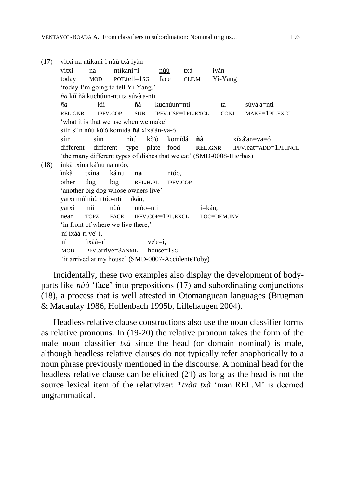```
(17) vitxi na ntíkani-ì nùù txà iyàn
     vitxi na ntíkani=ì nùù txà iyàn
     today MOD POT.tell=1SG face CLF.M Yi-Yang
     'today I'm going to tell Yi-Yang,'
     ña kíí ñà kuchúun-nti ta súvà'a-nti
     ña kíí ñà kuchúun=nti ta súvà'a=nti
     REL.GNR IPFV.COP SUB IPFV.USE=1PL.EXCL CONJ MAKE=1PL.EXCL
     'what it is that we use when we make'
     síin síin nùú kò'ò komídá ñà xíxá'àn-va-ó
     síin síin nùú kò'ò komídá ñà xíxá'an=va=ó
     different different type plate food REL.GNR IPFV.eat=ADD=1PL.INCL
     'the many different types of dishes that we eat' (SMD-0008-Hierbas)
(18) ìnkà txìna ká'nu na ntóo,
     ìnkà txìna ká'nu na ntóo,
     other dog big REL.H.PL IPFV.COP
     'another big dog whose owners live'
     yatxi míí nùù ntóo-nti ikán,
     yatxi míí nùù ntóo=nti i=kán,
     near TOPZ FACE IPFV.COP=1PL.EXCL LOC=DEM.INV
     'in front of where we live there,'
     nì ìxàà-rì ve'-ì,
     nì ìxàà=rì ve'e=ì,
     MOD PFV.arrive=3ANML house=1SG
     'it arrived at my house' (SMD-0007-AccidenteToby)
```
Incidentally, these two examples also display the development of bodyparts like *nùù* 'face' into prepositions (17) and subordinating conjunctions (18), a process that is well attested in Otomanguean languages (Brugman & Macaulay 1986, Hollenbach 1995b, Lillehaugen 2004).

Headless relative clause constructions also use the noun classifier forms as relative pronouns. In (19-20) the relative pronoun takes the form of the male noun classifier *txà* since the head (or domain nominal) is male, although headless relative clauses do not typically refer anaphorically to a noun phrase previously mentioned in the discourse. A nominal head for the headless relative clause can be elicited (21) as long as the head is not the source lexical item of the relativizer: \**txàa txà* 'man REL.M' is deemed ungrammatical.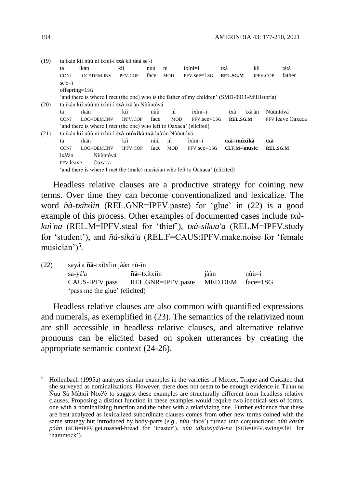| (19) |             | ta ikán kíí nùù nì ìxìni-ì <b>txà</b> kíí tátà se'-ì                                        |                 |      |                |                       |                 |                 |                  |  |  |  |
|------|-------------|---------------------------------------------------------------------------------------------|-----------------|------|----------------|-----------------------|-----------------|-----------------|------------------|--|--|--|
|      | ta          | ikán                                                                                        | kíí             | nùù  | nì             | $ixini = i$           | txà             | kíí             | tátà             |  |  |  |
|      | <b>CONJ</b> | LOC=DEM.INV                                                                                 | <b>IPFV.COP</b> | face | <b>MOD</b>     | $PFV.$ see $=$ 1 $SG$ | REL.SG.M        | <b>IPFV.COP</b> | father           |  |  |  |
|      | $se'e = i$  |                                                                                             |                 |      |                |                       |                 |                 |                  |  |  |  |
|      |             | offspring=1sG                                                                               |                 |      |                |                       |                 |                 |                  |  |  |  |
|      |             | 'and there is where I met (the one) who is the father of my children' (SMD-0011-MiHistoria) |                 |      |                |                       |                 |                 |                  |  |  |  |
| (20) |             | ta ikán kíí nùù nì ìxìni-ì <b>txà</b> ìxà'àn Nùùntóvá                                       |                 |      |                |                       |                 |                 |                  |  |  |  |
|      | ta          | ikán                                                                                        | kíí             | nùù  | n <sub>i</sub> | ixini=ì               | txà             | ìxà'àn          | Nùùntóvá         |  |  |  |
|      | <b>CONJ</b> | LOC=DEM.INV                                                                                 | <b>IPFV.COP</b> | face | <b>MOD</b>     | $PFV.$ see $=$ 1 $SG$ | <b>REL.SG.M</b> |                 | PFV leave Oaxaca |  |  |  |
|      |             | 'and there is where I met (the one) who left to Oaxaca' (elicited)                          |                 |      |                |                       |                 |                 |                  |  |  |  |
| (21) |             | ta ikán kíí nùù nì ìxìni-ì <b>txà-múxìkà txà</b> ìxà'àn Nùùntóvá                            |                 |      |                |                       |                 |                 |                  |  |  |  |
|      | ta          | ikán                                                                                        | kíí             | nùù  | nì             | $ixini=i$             | txà=múxìkà      |                 | txà              |  |  |  |
|      | <b>CONJ</b> | LOC=DEM.INV                                                                                 | <b>IPFV.COP</b> | face | <b>MOD</b>     | $PFV.$ see $=$ 1 $SG$ | CLF.M=music     |                 | <b>REL.SG.M</b>  |  |  |  |
|      | ìxà'àn      | Nùùntóvá                                                                                    |                 |      |                |                       |                 |                 |                  |  |  |  |
|      | PFV.leave   | Oaxaca                                                                                      |                 |      |                |                       |                 |                 |                  |  |  |  |
|      |             | 'and there is where I met the (male) musician who left to Oaxaca' (elicited)                |                 |      |                |                       |                 |                 |                  |  |  |  |
|      |             |                                                                                             |                 |      |                |                       |                 |                 |                  |  |  |  |

Headless relative clauses are a productive strategy for coining new terms. Over time they can become conventionalized and lexicalize. The word *ñà-txítxìin* (REL.GNR=IPFV.paste) for 'glue' in (22) is a good example of this process. Other examples of documented cases include *txàkuì'na* (REL.M=IPFV.steal for 'thief'), *txà-síkua'a* (REL.M=IPFV.study for 'student'), and *ñá-síká'a* (REL.F=CAUS:IPFV.make.noise for 'female musician')<sup>5</sup>.

| (22) | sayá'a <b>ñà</b> -txítxìin jààn nù-ìn |                                                  |         |                                 |  |  |  |  |  |  |
|------|---------------------------------------|--------------------------------------------------|---------|---------------------------------|--|--|--|--|--|--|
|      | sa-yá'a                               | $\tilde{\mathbf{n}}\tilde{\mathbf{a}}$ =txítxiin | jààn    | $n\grave{u}\grave{u}=\grave{u}$ |  |  |  |  |  |  |
|      | CAUS-IPFV.pass                        | REL.GNR=IPFV.paste                               | MED.DEM | face=1SG                        |  |  |  |  |  |  |
|      | 'pass me the glue' (elicited)         |                                                  |         |                                 |  |  |  |  |  |  |

Headless relative clauses are also common with quantified expressions and numerals, as exemplified in (23). The semantics of the relativized noun are still accessible in headless relative clauses, and alternative relative pronouns can be elicited based on spoken utterances by creating the appropriate semantic context (24-26).

 $\overline{a}$ 

<sup>5</sup> Hollenbach (1995a) analyzes similar examples in the varieties of Mixtec, Trique and Cuicatec that she surveyed as nominalizations. However, there does not seem to be enough evidence in Tù'un na Ñuu Sá Mátxíí Ntxèꞌè to suggest these examples are structurally different from headless relative clauses. Proposing a distinct function in these examples would require two identical sets of forms, one with a nominalizing function and the other with a relativizing one. Further evidence that these are best analyzed as lexicalized subordinate clauses comes from other new terms coined with the same strategy but introduced by body-parts (*e.g.*, *nùù* 'face') turned into conjunctions: *nùù kásún páàn* (SUB=IPFV.get.toasted-bread for 'toaster'), *nùù xíkutxíyá'á-na* (SUB=IPFV.swing=3PL for 'hammock').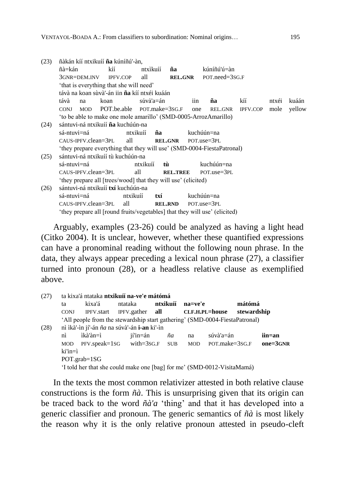| (23) | ñàkán kíí ntxikuíí <b>ña</b> kúníñú'-àn,                                   |      |                            |                 |                |                                                                        |          |       |        |  |  |  |  |
|------|----------------------------------------------------------------------------|------|----------------------------|-----------------|----------------|------------------------------------------------------------------------|----------|-------|--------|--|--|--|--|
|      | ñà=kán                                                                     | kíí  |                            | ntxìkuíí<br>ña  |                | kúníñú'ú=àn                                                            |          |       |        |  |  |  |  |
|      | 3GNR=DEM.INV                                                               |      | all<br><b>IPFV.COP</b>     |                 | <b>REL.GNR</b> | POT.need=3sG.F                                                         |          |       |        |  |  |  |  |
|      | 'that is everything that she will need'                                    |      |                            |                 |                |                                                                        |          |       |        |  |  |  |  |
|      | távà na koan sùvà'-án iin <b>ña</b> kíí ntxéi kuáán                        |      |                            |                 |                |                                                                        |          |       |        |  |  |  |  |
|      | távà<br>na                                                                 | koan |                            | súvà'a=án       | iin.           | ña                                                                     | kíí      | ntxéi | kuáán  |  |  |  |  |
|      | <b>MOD</b><br><b>CONJ</b>                                                  |      | POT.be.able POT.make=3sG.F |                 | one            | REL.GNR                                                                | IPFV.COP | mole  | yellow |  |  |  |  |
|      | 'to be able to make one mole amarillo' (SMD-0005-ArrozAmarillo)            |      |                            |                 |                |                                                                        |          |       |        |  |  |  |  |
| (24) | sántuvi-ná ntxikuíí <b>ña</b> kuchúún-na                                   |      |                            |                 |                |                                                                        |          |       |        |  |  |  |  |
|      | sá-ntuvi=ná                                                                |      | ntxikuíí<br>ña             |                 |                | kuchúún=na                                                             |          |       |        |  |  |  |  |
|      | CAUS-IPFV.clean=3PL                                                        |      | all                        | <b>REL.GNR</b>  |                | POT.use=3PL                                                            |          |       |        |  |  |  |  |
|      |                                                                            |      |                            |                 |                | 'they prepare everything that they will use' (SMD-0004-FiestaPatronal) |          |       |        |  |  |  |  |
| (25) | sántuvi-ná ntxikuíí tù kuchúún-na                                          |      |                            |                 |                |                                                                        |          |       |        |  |  |  |  |
|      | sá-ntuvi=ná                                                                |      | ntxikuíí                   | tù              |                | kuchúún=na                                                             |          |       |        |  |  |  |  |
|      | $CAUS-IPFV$ .clean= $3PL$                                                  |      | all                        | <b>REL.TREE</b> |                | $POT.use = 3PL$                                                        |          |       |        |  |  |  |  |
|      | 'they prepare all [trees/wood] that they will use' (elicited)              |      |                            |                 |                |                                                                        |          |       |        |  |  |  |  |
| (26) | sántuvi-ná ntxikuíí <b>txí</b> kuchúún-na                                  |      |                            |                 |                |                                                                        |          |       |        |  |  |  |  |
|      | sá-ntuvi=ná                                                                |      | ntxikuíí                   | txí             |                | kuchúún=na                                                             |          |       |        |  |  |  |  |
|      | CAUS-IPFV.clean=3PL                                                        |      | all                        | <b>REL.RND</b>  |                | $POT.use = 3PL$                                                        |          |       |        |  |  |  |  |
|      | 'they prepare all [round fruits/vegetables] that they will use' (elicited) |      |                            |                 |                |                                                                        |          |       |        |  |  |  |  |

Arguably, examples (23-26) could be analyzed as having a light head (Citko 2004). It is unclear, however, whether these quantified expressions can have a pronominal reading without the following noun phrase. In the data, they always appear preceding a lexical noun phrase (27), a classifier turned into pronoun (28), or a headless relative clause as exemplified above.

| (27) | ta kixa'á ntataka ntxikuíí na-ve'e mátómá                               |                                                                             |                        |          |         |                |             |              |  |  |  |
|------|-------------------------------------------------------------------------|-----------------------------------------------------------------------------|------------------------|----------|---------|----------------|-------------|--------------|--|--|--|
|      | ta                                                                      | kixa'á                                                                      | ntataka                | ntxikuíí | na=ve'e |                | mátómá      |              |  |  |  |
|      | <b>CONJ</b>                                                             | IPFV.start                                                                  | IPFV.gather <b>all</b> |          |         | CLF.H.PL=house | stewardship |              |  |  |  |
|      |                                                                         | 'All people from the stewardship start gathering' (SMD-0004-FiestaPatronal) |                        |          |         |                |             |              |  |  |  |
| (28) | nì ìkà'-ìn jí'-án ña na súvà'-án i-an ki'-ìn                            |                                                                             |                        |          |         |                |             |              |  |  |  |
|      | nì                                                                      | ìkà'àn=ì                                                                    | jí'in=án               | ña       | na      | súvà'a=án      |             | iin=an       |  |  |  |
|      | <b>MOD</b>                                                              | $PFV.\text{speak}=1\text{SG}$ with=3sG.F SUB                                |                        |          | MOD     | POT.make=3sG.F |             | $one = 3GNR$ |  |  |  |
|      | $\text{ki}'\text{in}=\text{i}$                                          |                                                                             |                        |          |         |                |             |              |  |  |  |
|      | $POT.grab = 1SG$                                                        |                                                                             |                        |          |         |                |             |              |  |  |  |
|      | 'I told her that she could make one [bag] for me' (SMD-0012-VisitaMamá) |                                                                             |                        |          |         |                |             |              |  |  |  |

In the texts the most common relativizer attested in both relative clause constructions is the form *ñà*. This is unsurprising given that its origin can be traced back to the word *ñà'a* 'thing' and that it has developed into a generic classifier and pronoun. The generic semantics of *ñà* is most likely the reason why it is the only relative pronoun attested in pseudo-cleft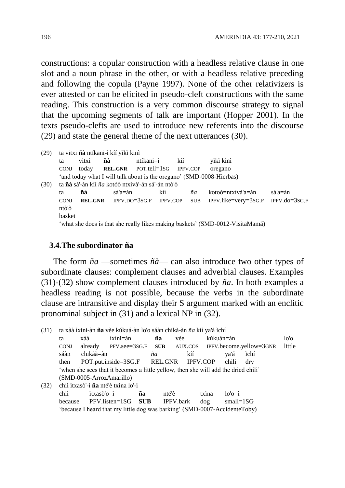constructions: a copular construction with a headless relative clause in one slot and a noun phrase in the other, or with a headless relative preceding and following the copula (Payne 1997). None of the other relativizers is ever attested or can be elicited in pseudo-cleft constructions with the same reading. This construction is a very common discourse strategy to signal that the upcoming segments of talk are important (Hopper 2001). In the texts pseudo-clefts are used to introduce new referents into the discourse (29) and state the general theme of the next utterances (30).

| (29)  |             | ta vitxi ñà ntíkani-ì kíí yìkì kinì                                  |                                                                 |                 |                  |                 |            |                                                                               |                 |  |  |  |  |
|-------|-------------|----------------------------------------------------------------------|-----------------------------------------------------------------|-----------------|------------------|-----------------|------------|-------------------------------------------------------------------------------|-----------------|--|--|--|--|
|       | ta          | ñà<br>vitxi                                                          |                                                                 |                 | ntíkani=ì<br>kíí |                 |            | yìkì kinì                                                                     |                 |  |  |  |  |
|       | <b>CONJ</b> | today                                                                | <b>REL.GNR</b>                                                  | POT.tell=1sG    |                  | <b>IPFV.COP</b> |            | oregano                                                                       |                 |  |  |  |  |
|       |             | 'and today what I will talk about is the oregano' (SMD-0008-Hierbas) |                                                                 |                 |                  |                 |            |                                                                               |                 |  |  |  |  |
| (30)  |             |                                                                      | ta <b>ñà</b> sá'-án kíí <i>ña</i> kotóò ntxìvà'-án sá'-án ntò'ò |                 |                  |                 |            |                                                                               |                 |  |  |  |  |
|       | ta          | ñà                                                                   | sá'a=án                                                         |                 | kíí              |                 | ñа         | $koto6 = ntxi$ và 'a=án                                                       | sá'a=án         |  |  |  |  |
|       | <b>CONJ</b> | <b>REL.GNR</b>                                                       |                                                                 | $IPFV.DO=3SG.F$ | <b>IPFV.COP</b>  |                 | <b>SUB</b> | $IPFV$ .like=very=3sG.F                                                       | $IPFV.do=3SG.F$ |  |  |  |  |
| ntò'ò |             |                                                                      |                                                                 |                 |                  |                 |            |                                                                               |                 |  |  |  |  |
|       | basket      |                                                                      |                                                                 |                 |                  |                 |            |                                                                               |                 |  |  |  |  |
|       |             |                                                                      |                                                                 |                 |                  |                 |            | 'what she does is that she really likes making baskets' (SMD-0012-VisitaMamá) |                 |  |  |  |  |

#### **3.4.The subordinator ña**

The form *ña* —sometimes *ñà*— can also introduce two other types of subordinate clauses: complement clauses and adverbial clauses. Examples (31)-(32) show complement clauses introduced by *ña*. In both examples a headless reading is not possible, because the verbs in the subordinate clause are intransitive and display their S argument marked with an enclitic pronominal subject in (31) and a lexical NP in (32).

(31) ta xàà ìxini-àn **ña** vèe kúkuá-àn lo'o sáàn chikà-àn *ña* kíí ya'á ìchí ta xàà ìxìni=àn **ña** vèe kúkuán=àn lo'o CONJ already PFV.see=3SG.F **SUB** AUX.COS IPFV.become.yellow=3GNR little sáàn chikàà=àn *ña* kíí ya'á ìchí then POT.put.inside=3SG.F REL.GNR IPFV.COP chili dry 'when she sees that it becomes a little yellow, then she will add the dried chili' (SMD-0005-ArrozAmarillo) (32) chii ìtxasò'-ì **ña** nté'è txìna lo'-ì chii ìtxasò'o=ì **ña** nté'è txìna lo'o=ì because PFV.listen=1SG **SUB** IPFV.bark dog small=1SG 'because I heard that my little dog was barking' (SMD-0007-AccidenteToby)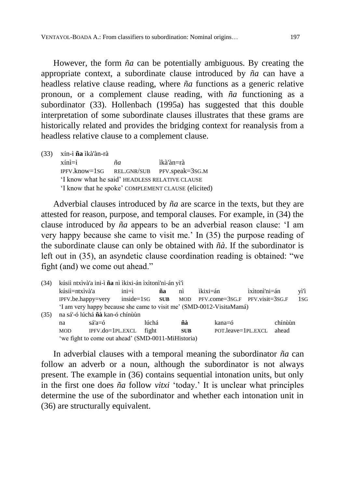However, the form *ña* can be potentially ambiguous. By creating the appropriate context, a subordinate clause introduced by *ña* can have a headless relative clause reading, where *ña* functions as a generic relative pronoun, or a complement clause reading, with *ña* functioning as a subordinator (33). Hollenbach (1995a) has suggested that this double interpretation of some subordinate clauses illustrates that these grams are historically related and provides the bridging context for reanalysis from a headless relative clause to a complement clause.

(33) xín-ì **ña** ìkà'àn-rà

xínì=ì *ña* ìkà'àn=rà IPFV.know=1SG REL.GNR/SUB PFV.speak=3SG.M 'I know what he said' HEADLESS RELATIVE CLAUSE 'I know that he spoke' COMPLEMENT CLAUSE (elicited)

Adverbial clauses introduced by *ña* are scarce in the texts, but they are attested for reason, purpose, and temporal clauses. For example, in (34) the clause introduced by *ña* appears to be an adverbial reason clause: 'I am very happy because she came to visit me.' In (35) the purpose reading of the subordinate clause can only be obtained with *ñà*. If the subordinator is left out in (35), an asyndetic clause coordination reading is obtained: "we fight (and) we come out ahead."

| (34) | kúsií ntxívà'a ini-ì ña nì ì kixi-án ì xìtonì'ni-án yì'ì |                                                                      |           |       |    |                      |                                    |               |         |      |  |  |  |
|------|----------------------------------------------------------|----------------------------------------------------------------------|-----------|-------|----|----------------------|------------------------------------|---------------|---------|------|--|--|--|
|      | kúsií=ntxìvà'a                                           |                                                                      | $ini = i$ |       | ña | $\overrightarrow{m}$ | ìkixi=án                           | ixitoni'ni=án |         | yì'ì |  |  |  |
|      |                                                          | $IPFV.$ be.happy=very inside=1sG $SUB$                               |           |       |    |                      | MOD PFV.come=3sG.F PFV.visit=3sG.F |               |         | 1SC  |  |  |  |
|      |                                                          | 'I am very happy because she came to visit me' (SMD-0012-VisitaMamá) |           |       |    |                      |                                    |               |         |      |  |  |  |
| (35) | na sá'-ó lúchá <b>ñà</b> kan-ó chínùùn                   |                                                                      |           |       |    |                      |                                    |               |         |      |  |  |  |
|      | na                                                       | $sá'a=6$                                                             |           | lúchá |    | ñà                   | kana=ó                             |               | chínuùn |      |  |  |  |
|      | <b>MOD</b>                                               | IPFV.do=1PL.EXCL                                                     |           | fight |    | <b>SUB</b>           | POT.leave=1PL.EXCL                 |               | ahead   |      |  |  |  |
|      | 'we fight to come out ahead' (SMD-0011-MiHistoria)       |                                                                      |           |       |    |                      |                                    |               |         |      |  |  |  |

In adverbial clauses with a temporal meaning the subordinator *ña* can follow an adverb or a noun, although the subordinator is not always present. The example in (36) contains sequential intonation units, but only in the first one does *ña* follow *vitxi* 'today.' It is unclear what principles determine the use of the subordinator and whether each intonation unit in (36) are structurally equivalent.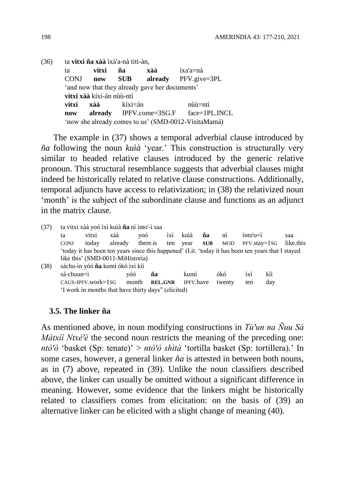(36) ta **vitxi ña xàà** ìxà'a-nà titi-àn, ta **vitxi ña xàà** ìxa'a=nà CONJ **now SUB already** PFV.give=3PL 'and now that they already gave her documents' **vitxi xàà** kíxi-án nùù-ntí **vitxi xàà** kíxi=án nùù=ntí **now already** IPFV.come=3SG.F face=1PL.INCL 'now she already comes to us' (SMD-0012-VisitaMamá)

The example in (37) shows a temporal adverbial clause introduced by *ña* following the noun *kuìà* 'year.' This construction is structurally very similar to headed relative clauses introduced by the generic relative pronoun. This structural resemblance suggests that adverbial clauses might indeed be historically related to relative clause constructions. Additionally, temporal adjuncts have access to relativization; in (38) the relativized noun 'month' is the subject of the subordinate clause and functions as an adjunct in the matrix clause.

| ta vitxi xàà yoó ìxì kuìà ña nì ìnto'-ì saa<br>(37)                                                |                   |                    |                                                     |          |                |                  |            |        |                  |     |           |
|----------------------------------------------------------------------------------------------------|-------------------|--------------------|-----------------------------------------------------|----------|----------------|------------------|------------|--------|------------------|-----|-----------|
|                                                                                                    | ta                | vitxi              | xàà                                                 | yoó      | ìxì            | kuìà             | ña         | nì     | $into'$ o= $i$   |     | saa       |
|                                                                                                    | <b>CONJ</b>       | today              | already                                             | there is | ten            | year             | <b>SUB</b> | MOD    | $PFV.stay = 1SG$ |     | like.this |
| 'today it has been ten years since this happened' (Lit. 'today it has been ten years that I stayed |                   |                    |                                                     |          |                |                  |            |        |                  |     |           |
|                                                                                                    |                   |                    | like this' (SMD-0011-MiHistoria)                    |          |                |                  |            |        |                  |     |           |
| (38)                                                                                               |                   |                    | sáchu-ìn yóó ña kumí ókó ìxì kìì                    |          |                |                  |            |        |                  |     |           |
|                                                                                                    | $s$ á-chuun $=$ ì |                    | vóó                                                 | ña       |                | kumí             |            | ókó    | ìxì              | kìì |           |
|                                                                                                    |                   | CAUS-IPFV.work=1sG |                                                     | month    | <b>REL.GNR</b> | <b>IPFV.have</b> |            | twenty | ten              | day |           |
|                                                                                                    |                   |                    | 'I work in months that have thirty days" (elicited) |          |                |                  |            |        |                  |     |           |
|                                                                                                    |                   |                    |                                                     |          |                |                  |            |        |                  |     |           |

## **3.5. The linker ña**

As mentioned above, in noun modifying constructions in *Tù'un na Ñuu Sá Mátxií Ntxè'è* the second noun restricts the meaning of the preceding one: *ntò'ò* 'basket (Sp: tenate)' > *ntò'ò shìtà* 'tortilla basket (Sp: tortillera).' In some cases, however, a general linker *ña* is attested in between both nouns, as in (7) above, repeated in (39). Unlike the noun classifiers described above, the linker can usually be omitted without a significant difference in meaning. However, some evidence that the linkers might be historically related to classifiers comes from elicitation: on the basis of (39) an alternative linker can be elicited with a slight change of meaning (40).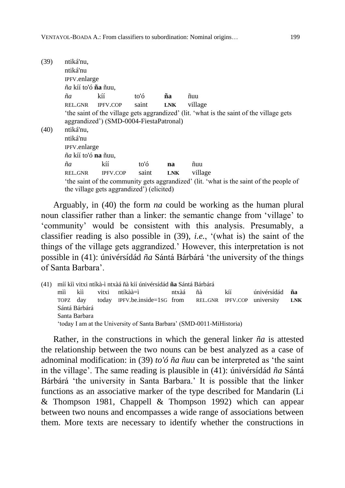| (39) | ntiká'nu,                                                                                                                            |                                         |       |            |                                                                                          |  |  |  |  |  |  |  |
|------|--------------------------------------------------------------------------------------------------------------------------------------|-----------------------------------------|-------|------------|------------------------------------------------------------------------------------------|--|--|--|--|--|--|--|
|      | ntiká'nu                                                                                                                             |                                         |       |            |                                                                                          |  |  |  |  |  |  |  |
|      |                                                                                                                                      | IPFV.enlarge                            |       |            |                                                                                          |  |  |  |  |  |  |  |
|      | ña kíí to'ó <b>ña</b> ñuu,                                                                                                           |                                         |       |            |                                                                                          |  |  |  |  |  |  |  |
|      | ña                                                                                                                                   | kíí                                     | to'ó  | ña         | ñuu                                                                                      |  |  |  |  |  |  |  |
|      | REL.GNR                                                                                                                              | <b>IPFV.COP</b>                         | saint | <b>LNK</b> | village                                                                                  |  |  |  |  |  |  |  |
|      |                                                                                                                                      | aggrandized') (SMD-0004-FiestaPatronal) |       |            | 'the saint of the village gets aggrandized' (lit. 'what is the saint of the village gets |  |  |  |  |  |  |  |
| (40) |                                                                                                                                      | ntiká'nu,                               |       |            |                                                                                          |  |  |  |  |  |  |  |
|      | ntiká'nu                                                                                                                             |                                         |       |            |                                                                                          |  |  |  |  |  |  |  |
|      | IPFV.enlarge                                                                                                                         |                                         |       |            |                                                                                          |  |  |  |  |  |  |  |
|      | ña kíí to'ó <b>na</b> ñuu,                                                                                                           |                                         |       |            |                                                                                          |  |  |  |  |  |  |  |
|      | ñа                                                                                                                                   | kíí                                     | to'ó  | na         | ñuu                                                                                      |  |  |  |  |  |  |  |
|      | REL.GNR                                                                                                                              | <b>IPFV.COP</b>                         | saint | <b>LNK</b> | village                                                                                  |  |  |  |  |  |  |  |
|      | 'the saint of the community gets aggrandized' (lit. 'what is the saint of the people of<br>the village gets aggrandized') (elicited) |                                         |       |            |                                                                                          |  |  |  |  |  |  |  |

Arguably, in (40) the form *na* could be working as the human plural noun classifier rather than a linker: the semantic change from 'village' to 'community' would be consistent with this analysis. Presumably, a classifier reading is also possible in (39), *i.e.*, '(what is) the saint of the things of the village gets aggrandized.' However, this interpretation is not possible in (41): únivérsídád *ña* Sántá Bárbárá 'the university of the things of Santa Barbara'.

(41) míí kìì vitxi ntíkà-ì ntxàá ñà kíí únivérsídád **ña** Sántá Bárbárá mìì kìì vitxi ntíkàà=ì ntxàá ñà kíí únivérsídád **ña** TOPZ day today IPFV.be.inside=1SG from REL.GNR IPFV.COP university **LNK** Sántá Bárbárá Santa Barbara 'today I am at the University of Santa Barbara' (SMD-0011-MiHistoria)

Rather, in the constructions in which the general linker *ña* is attested the relationship between the two nouns can be best analyzed as a case of adnominal modification: in (39) *to'ó ña ñuu* can be interpreted as 'the saint in the village'. The same reading is plausible in (41): únivérsídád *ña* Sántá Bárbárá 'the university in Santa Barbara.' It is possible that the linker functions as an associative marker of the type described for Mandarin (Li & Thompson 1981, Chappell & Thompson 1992) which can appear between two nouns and encompasses a wide range of associations between them. More texts are necessary to identify whether the constructions in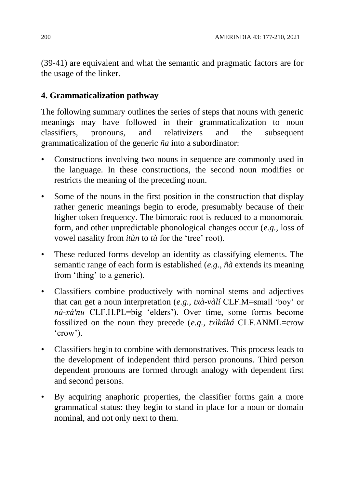(39-41) are equivalent and what the semantic and pragmatic factors are for the usage of the linker.

# **4. Grammaticalization pathway**

The following summary outlines the series of steps that nouns with generic meanings may have followed in their grammaticalization to noun classifiers, pronouns, and relativizers and the subsequent grammaticalization of the generic *ña* into a subordinator:

- Constructions involving two nouns in sequence are commonly used in the language. In these constructions, the second noun modifies or restricts the meaning of the preceding noun.
- Some of the nouns in the first position in the construction that display rather generic meanings begin to erode, presumably because of their higher token frequency. The bimoraic root is reduced to a monomoraic form, and other unpredictable phonological changes occur (*e.g.*, loss of vowel nasality from *itùn* to *tù* for the 'tree' root).
- These reduced forms develop an identity as classifying elements. The semantic range of each form is established (*e.g.*, *ñà* extends its meaning from 'thing' to a generic).
- Classifiers combine productively with nominal stems and adjectives that can get a noun interpretation (*e.g.*, *txà-vàlí* CLF.M=small 'boy' or *nà-xá'nu* CLF.H.PL=big 'elders'). Over time, some forms become fossilized on the noun they precede (*e.g.*, *txìkáká* CLF.ANML=crow 'crow').
- Classifiers begin to combine with demonstratives. This process leads to the development of independent third person pronouns. Third person dependent pronouns are formed through analogy with dependent first and second persons.
- By acquiring anaphoric properties, the classifier forms gain a more grammatical status: they begin to stand in place for a noun or domain nominal, and not only next to them.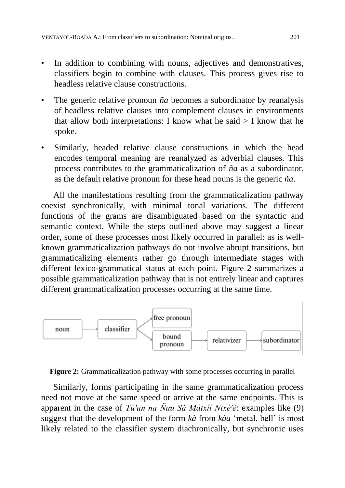- In addition to combining with nouns, adjectives and demonstratives, classifiers begin to combine with clauses. This process gives rise to headless relative clause constructions.
- The generic relative pronoun *ña* becomes a subordinator by reanalysis of headless relative clauses into complement clauses in environments that allow both interpretations: I know what he said  $>$  I know that he spoke.
- Similarly, headed relative clause constructions in which the head encodes temporal meaning are reanalyzed as adverbial clauses. This process contributes to the grammaticalization of *ña* as a subordinator, as the default relative pronoun for these head nouns is the generic *ña*.

All the manifestations resulting from the grammaticalization pathway coexist synchronically, with minimal tonal variations. The different functions of the grams are disambiguated based on the syntactic and semantic context. While the steps outlined above may suggest a linear order, some of these processes most likely occurred in parallel: as is wellknown grammaticalization pathways do not involve abrupt transitions, but grammaticalizing elements rather go through intermediate stages with different lexico-grammatical status at each point. Figure 2 summarizes a possible grammaticalization pathway that is not entirely linear and captures different grammaticalization processes occurring at the same time.



**Figure 2:** Grammaticalization pathway with some processes occurring in parallel

Similarly, forms participating in the same grammaticalization process need not move at the same speed or arrive at the same endpoints. This is apparent in the case of *Tù'un na Ñuu Sá Mátxíí Ntxè'è*: examples like  $(9)$ suggest that the development of the form *kà* from *kàa* 'metal, bell' is most likely related to the classifier system diachronically, but synchronic uses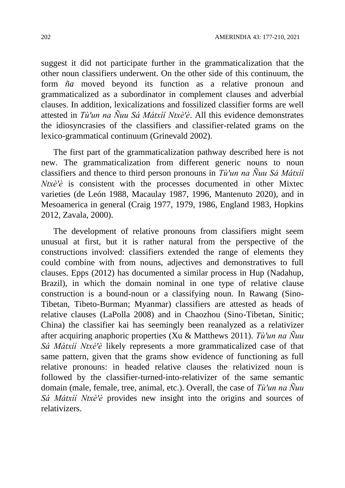suggest it did not participate further in the grammaticalization that the other noun classifiers underwent. On the other side of this continuum, the form *ña* moved beyond its function as a relative pronoun and grammaticalized as a subordinator in complement clauses and adverbial clauses. In addition, lexicalizations and fossilized classifier forms are well attested in *Tù'un na Ñuu Sá Mátxíí Ntxè'è*. All this evidence demonstrates the idiosyncrasies of the classifiers and classifier-related grams on the lexico-grammatical continuum (Grinevald 2002).

The first part of the grammaticalization pathway described here is not new. The grammaticalization from different generic nouns to noun classifiers and thence to third person pronouns in *Tù'un na Ñuu Sá Mátxií Ntxè'è* is consistent with the processes documented in other Mixtec varieties (de León 1988, Macaulay 1987, 1996, Mantenuto 2020), and in Mesoamerica in general (Craig 1977, 1979, 1986, England 1983, Hopkins 2012, Zavala, 2000).

The development of relative pronouns from classifiers might seem unusual at first, but it is rather natural from the perspective of the constructions involved: classifiers extended the range of elements they could combine with from nouns, adjectives and demonstratives to full clauses. Epps (2012) has documented a similar process in Hup (Nadahup, Brazil), in which the domain nominal in one type of relative clause construction is a bound-noun or a classifying noun. In Rawang (Sino-Tibetan, Tibeto-Burman; Myanmar) classifiers are attested as heads of relative clauses (LaPolla 2008) and in Chaozhou (Sino-Tibetan, Sinitic; China) the classifier kai has seemingly been reanalyzed as a relativizer after acquiring anaphoric properties (Xu & Matthews 2011). *Tù'un na Ñuu Sá Mátxíí Ntxè'è* likely represents a more grammaticalized case of that same pattern, given that the grams show evidence of functioning as full relative pronouns: in headed relative clauses the relativized noun is followed by the classifier-turned-into-relativizer of the same semantic domain (male, female, tree, animal, etc.). Overall, the case of *Tù'un na Ñuu Sá Mátxíí Ntxè'è* provides new insight into the origins and sources of relativizers.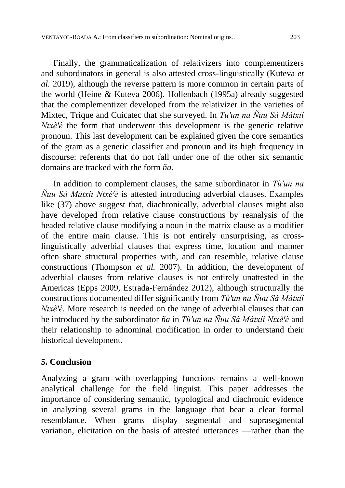Finally, the grammaticalization of relativizers into complementizers and subordinators in general is also attested cross-linguistically (Kuteva *et al.* 2019), although the reverse pattern is more common in certain parts of the world (Heine & Kuteva 2006). Hollenbach (1995a) already suggested that the complementizer developed from the relativizer in the varieties of Mixtec, Trique and Cuicatec that she surveyed. In *Tù'un na Ñuu Sá Mátxíí Ntxè'è* the form that underwent this development is the generic relative pronoun. This last development can be explained given the core semantics of the gram as a generic classifier and pronoun and its high frequency in discourse: referents that do not fall under one of the other six semantic domains are tracked with the form *ña*.

In addition to complement clauses, the same subordinator in *Tù'un na Ñuu Sá Mátxíí Ntxè'è* is attested introducing adverbial clauses. Examples like (37) above suggest that, diachronically, adverbial clauses might also have developed from relative clause constructions by reanalysis of the headed relative clause modifying a noun in the matrix clause as a modifier of the entire main clause. This is not entirely unsurprising, as crosslinguistically adverbial clauses that express time, location and manner often share structural properties with, and can resemble, relative clause constructions (Thompson *et al.* 2007). In addition, the development of adverbial clauses from relative clauses is not entirely unattested in the Americas (Epps 2009, Estrada-Fernández 2012), although structurally the constructions documented differ significantly from *Tù'un na Ñuu Sá Mátxíí Ntxè'è*. More research is needed on the range of adverbial clauses that can be introduced by the subordinator *ña* in *Tù'un na Ñuu Sá Mátxíí Ntxè'è* and their relationship to adnominal modification in order to understand their historical development.

# **5. Conclusion**

Analyzing a gram with overlapping functions remains a well-known analytical challenge for the field linguist. This paper addresses the importance of considering semantic, typological and diachronic evidence in analyzing several grams in the language that bear a clear formal resemblance. When grams display segmental and suprasegmental variation, elicitation on the basis of attested utterances —rather than the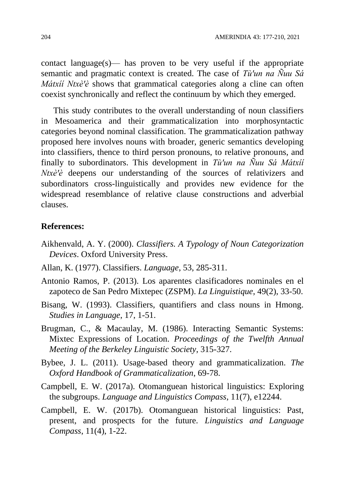contact language(s)— has proven to be very useful if the appropriate semantic and pragmatic context is created. The case of *Tù'un na Ñuu Sá Mátxíí Ntxè'è* shows that grammatical categories along a cline can often coexist synchronically and reflect the continuum by which they emerged.

This study contributes to the overall understanding of noun classifiers in Mesoamerica and their grammaticalization into morphosyntactic categories beyond nominal classification. The grammaticalization pathway proposed here involves nouns with broader, generic semantics developing into classifiers, thence to third person pronouns, to relative pronouns, and finally to subordinators. This development in *Tù'un na Ñuu Sá Mátxíí Ntxè'è* deepens our understanding of the sources of relativizers and subordinators cross-linguistically and provides new evidence for the widespread resemblance of relative clause constructions and adverbial clauses.

## **References:**

- Aikhenvald, A. Y. (2000). *Classifiers. A Typology of Noun Categorization Devices*. Oxford University Press.
- Allan, K. (1977). Classifiers. *Language*, 53, 285-311.
- Antonio Ramos, P. (2013). Los aparentes clasificadores nominales en el zapoteco de San Pedro Mixtepec (ZSPM). *La Linguistique*, 49(2), 33-50.
- Bisang, W. (1993). Classifiers, quantifiers and class nouns in Hmong. *Studies in Language*, 17, 1-51.
- Brugman, C., & Macaulay, M. (1986). Interacting Semantic Systems: Mixtec Expressions of Location. *Proceedings of the Twelfth Annual Meeting of the Berkeley Linguistic Society*, 315-327.
- Bybee, J. L. (2011). Usage-based theory and grammaticalization. *The Oxford Handbook of Grammaticalization*, 69-78.
- Campbell, E. W. (2017a). Otomanguean historical linguistics: Exploring the subgroups. *Language and Linguistics Compass*, 11(7), e12244.
- Campbell, E. W. (2017b). Otomanguean historical linguistics: Past, present, and prospects for the future. *Linguistics and Language Compass*, 11(4), 1-22.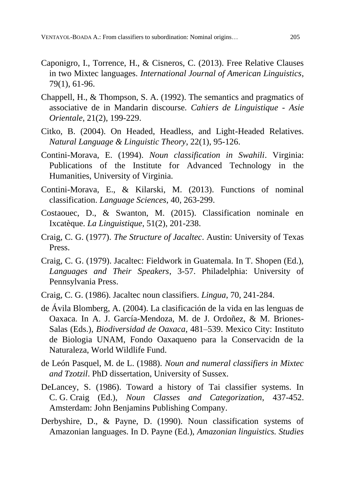- Caponigro, I., Torrence, H., & Cisneros, C. (2013). Free Relative Clauses in two Mixtec languages. *International Journal of American Linguistics*, 79(1), 61-96.
- Chappell, H., & Thompson, S. A. (1992). The semantics and pragmatics of associative de in Mandarin discourse. *Cahiers de Linguistique - Asie Orientale*, 21(2), 199-229.
- Citko, B. (2004). On Headed, Headless, and Light-Headed Relatives. *Natural Language & Linguistic Theory*, 22(1), 95-126.
- Contini-Morava, E. (1994). *Noun classification in Swahili*. Virginia: Publications of the Institute for Advanced Technology in the Humanities, University of Virginia.
- Contini-Morava, E., & Kilarski, M. (2013). Functions of nominal classification. *Language Sciences*, 40, 263-299.
- Costaouec, D., & Swanton, M. (2015). Classification nominale en Ixcatèque. *La Linguistique*, 51(2), 201-238.
- Craig, C. G. (1977). *The Structure of Jacaltec*. Austin: University of Texas Press.
- Craig, C. G. (1979). Jacaltec: Fieldwork in Guatemala. In T. Shopen (Ed.), *Languages and Their Speakers*, 3-57. Philadelphia: University of Pennsylvania Press.
- Craig, C. G. (1986). Jacaltec noun classifiers. *Lingua*, 70, 241-284.
- de Ávila Blomberg, A. (2004). La clasificación de la vida en las lenguas de Oaxaca. In A. J. García-Mendoza, M. de J. Ordoñez, & M. Briones-Salas (Eds.), *Biodiversidad de Oaxaca*, 481–539. Mexico City: Instituto de Biologia UNAM, Fondo Oaxaqueno para la Conservacidn de la Naturaleza, World Wildlife Fund.
- de León Pasquel, M. de L. (1988). *Noun and numeral classifiers in Mixtec and Tzotzil*. PhD dissertation, University of Sussex.
- DeLancey, S. (1986). Toward a history of Tai classifier systems. In C. G. Craig (Ed.), *Noun Classes and Categorization*, 437-452. Amsterdam: John Benjamins Publishing Company.
- Derbyshire, D., & Payne, D. (1990). Noun classification systems of Amazonian languages. In D. Payne (Ed.), *Amazonian linguistics. Studies*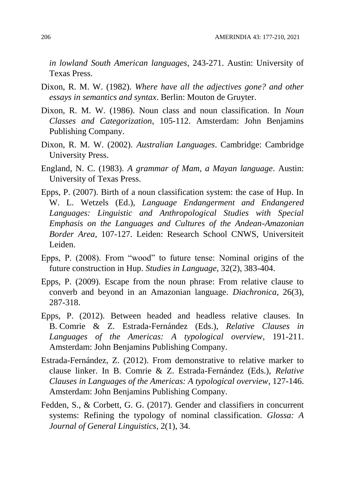*in lowland South American languages,* 243-271. Austin: University of Texas Press.

- Dixon, R. M. W. (1982). *Where have all the adjectives gone? and other essays in semantics and syntax*. Berlin: Mouton de Gruyter.
- Dixon, R. M. W. (1986). Noun class and noun classification. In *Noun Classes and Categorization*, 105-112. Amsterdam: John Benjamins Publishing Company.
- Dixon, R. M. W. (2002). *Australian Languages*. Cambridge: Cambridge University Press.
- England, N. C. (1983). *A grammar of Mam, a Mayan language*. Austin: University of Texas Press.
- Epps, P. (2007). Birth of a noun classification system: the case of Hup. In W. L. Wetzels (Ed.), *Language Endangerment and Endangered Languages: Linguistic and Anthropological Studies with Special Emphasis on the Languages and Cultures of the Andean-Amazonian Border Area,* 107-127. Leiden: Research School CNWS, Universiteit Leiden.
- Epps, P. (2008). From "wood" to future tense: Nominal origins of the future construction in Hup. *Studies in Language*, 32(2), 383-404.
- Epps, P. (2009). Escape from the noun phrase: From relative clause to converb and beyond in an Amazonian language. *Diachronica*, 26(3), 287-318.
- Epps, P. (2012). Between headed and headless relative clauses. In B. Comrie & Z. Estrada-Fernández (Eds.), *Relative Clauses in Languages of the Americas: A typological overview*, 191-211. Amsterdam: John Benjamins Publishing Company.
- Estrada-Fernández, Z. (2012). From demonstrative to relative marker to clause linker. In B. Comrie & Z. Estrada-Fernández (Eds.), *Relative Clauses in Languages of the Americas: A typological overview*, 127-146. Amsterdam: John Benjamins Publishing Company.
- Fedden, S., & Corbett, G. G. (2017). Gender and classifiers in concurrent systems: Refining the typology of nominal classification. *Glossa: A Journal of General Linguistics*, 2(1), 34.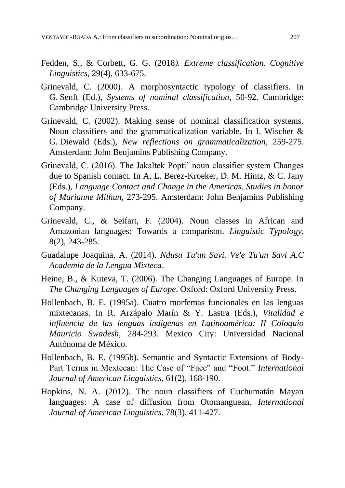- Fedden, S., & Corbett, G. G. (2018*). Extreme classification. Cognitive Linguistics*, 29(4), 633-675.
- Grinevald, C. (2000). A morphosyntactic typology of classifiers. In G. Senft (Ed.), *Systems of nominal classification*, 50-92. Cambridge: Cambridge University Press.
- Grinevald, C. (2002). Making sense of nominal classification systems. Noun classifiers and the grammaticalization variable. In I. Wischer & G. Diewald (Eds.), *New reflections on grammaticalization*, 259-275. Amsterdam: John Benjamins Publishing Company.
- Grinevald, C. (2016). The Jakaltek Popti' noun classifier system Changes due to Spanish contact. In A. L. Berez-Kroeker, D. M. Hintz, & C. Jany (Eds.), *Language Contact and Change in the Americas. Studies in honor of Marianne Mithun*, 273-295. Amsterdam: John Benjamins Publishing Company.
- Grinevald, C., & Seifart, F. (2004). Noun classes in African and Amazonian languages: Towards a comparison. *Linguistic Typology*, 8(2), 243-285.
- Guadalupe Joaquina, A. (2014). *Ndusu Tu'un Savi. Ve'e Tu'un Savi A.C Academia de la Lengua Mixteca*.
- Heine, B., & Kuteva, T. (2006). The Changing Languages of Europe. In *The Changing Languages of Europe*. Oxford: Oxford University Press.
- Hollenbach, B. E. (1995a). Cuatro morfemas funcionales en las lenguas mixtecanas. In R. Arzápalo Marín & Y. Lastra (Eds.), *Vitalidad e influencia de las lenguas indígenas en Latinoamérica: II Coloquio Mauricio Swadesh*, 284-293. Mexico City: Universidad Nacional Autónoma de México.
- Hollenbach, B. E. (1995b). Semantic and Syntactic Extensions of Body-Part Terms in Mextecan: The Case of "Face" and "Foot." *International Journal of American Linguistics*, 61(2), 168-190.
- Hopkins, N. A. (2012). The noun classifiers of Cuchumatán Mayan languages: A case of diffusion from Otomanguean*. International Journal of American Linguistics*, 78(3), 411-427.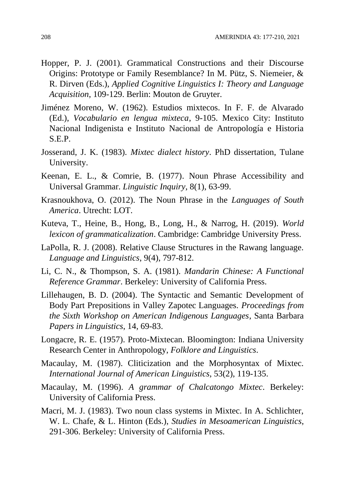- Hopper, P. J. (2001). Grammatical Constructions and their Discourse Origins: Prototype or Family Resemblance? In M. Pütz, S. Niemeier, & R. Dirven (Eds.), *Applied Cognitive Linguistics I: Theory and Language Acquisition*, 109-129. Berlin: Mouton de Gruyter.
- Jiménez Moreno, W. (1962). Estudios mixtecos. In F. F. de Alvarado (Ed.), *Vocabulario en lengua mixteca*, 9-105. Mexico City: Instituto Nacional Indigenista e Instituto Nacional de Antropología e Historia S.E.P.
- Josserand, J. K. (1983). *Mixtec dialect history*. PhD dissertation, Tulane University.
- Keenan, E. L., & Comrie, B. (1977). Noun Phrase Accessibility and Universal Grammar. *Linguistic Inquiry*, 8(1), 63-99.
- Krasnoukhova, O. (2012). The Noun Phrase in the *Languages of South America*. Utrecht: LOT.
- Kuteva, T., Heine, B., Hong, B., Long, H., & Narrog, H. (2019). *World lexicon of grammaticalization*. Cambridge: Cambridge University Press.
- LaPolla, R. J. (2008). Relative Clause Structures in the Rawang language. *Language and Linguistics*, 9(4), 797-812.
- Li, C. N., & Thompson, S. A. (1981). *Mandarin Chinese: A Functional Reference Grammar*. Berkeley: University of California Press.
- Lillehaugen, B. D. (2004). The Syntactic and Semantic Development of Body Part Prepositions in Valley Zapotec Languages. *Proceedings from the Sixth Workshop on American Indigenous Languages*, Santa Barbara *Papers in Linguistics*, 14, 69-83.
- Longacre, R. E. (1957). Proto-Mixtecan. Bloomington: Indiana University Research Center in Anthropology, *Folklore and Linguistics*.
- Macaulay, M. (1987). Cliticization and the Morphosyntax of Mixtec. *International Journal of American Linguistics*, 53(2), 119-135.
- Macaulay, M. (1996). *A grammar of Chalcatongo Mixtec*. Berkeley: University of California Press.
- Macri, M. J. (1983). Two noun class systems in Mixtec. In A. Schlichter, W. L. Chafe, & L. Hinton (Eds.), *Studies in Mesoamerican Linguistics*, 291-306. Berkeley: University of California Press.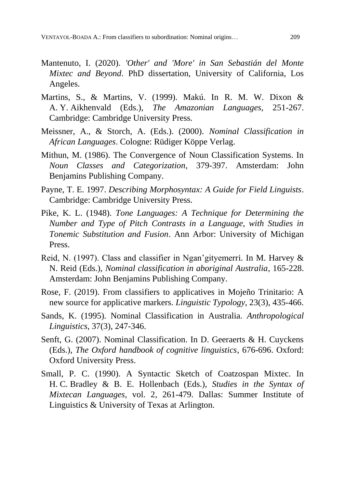- Mantenuto, I. (2020). *'Other' and 'More' in San Sebastián del Monte Mixtec and Beyond*. PhD dissertation, University of California, Los Angeles.
- Martins, S., & Martins, V. (1999). Makú. In R. M. W. Dixon & A. Y. Aikhenvald (Eds.), *The Amazonian Languages*, 251-267. Cambridge: Cambridge University Press.
- Meissner, A., & Storch, A. (Eds.). (2000). *Nominal Classification in African Languages*. Cologne: Rüdiger Köppe Verlag.
- Mithun, M. (1986). The Convergence of Noun Classification Systems. In *Noun Classes and Categorization*, 379-397. Amsterdam: John Benjamins Publishing Company.
- Payne, T. E. 1997. *Describing Morphosyntax: A Guide for Field Linguists*. Cambridge: Cambridge University Press.
- Pike, K. L. (1948). *Tone Languages: A Technique for Determining the Number and Type of Pitch Contrasts in a Language, with Studies in Tonemic Substitution and Fusion*. Ann Arbor: University of Michigan Press.
- Reid, N. (1997). Class and classifier in Ngan'gityemerri. In M. Harvey & N. Reid (Eds.), *Nominal classification in aboriginal Australia*, 165-228. Amsterdam: John Benjamins Publishing Company.
- Rose, F. (2019). From classifiers to applicatives in Mojeño Trinitario: A new source for applicative markers. *Linguistic Typology*, 23(3), 435-466.
- Sands, K. (1995). Nominal Classification in Australia*. Anthropological Linguistics*, 37(3), 247-346.
- Senft, G. (2007). Nominal Classification. In D. Geeraerts & H. Cuyckens (Eds.), *The Oxford handbook of cognitive linguistics*, 676-696. Oxford: Oxford University Press.
- Small, P. C. (1990). A Syntactic Sketch of Coatzospan Mixtec. In H. C. Bradley & B. E. Hollenbach (Eds.), *Studies in the Syntax of Mixtecan Languages*, vol. 2, 261-479. Dallas: Summer Institute of Linguistics & University of Texas at Arlington.